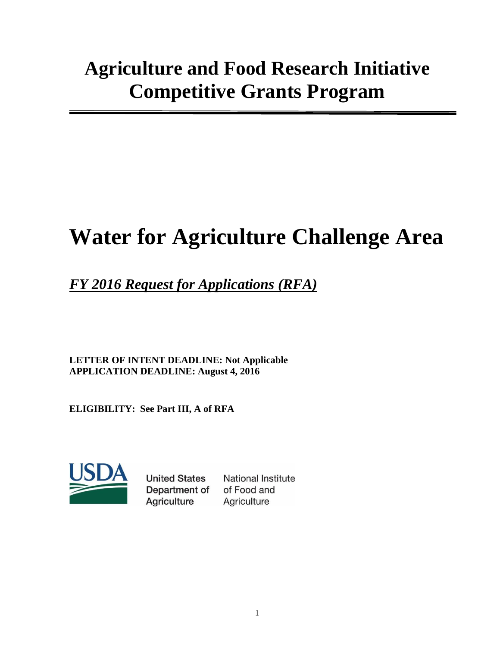# **Water for Agriculture Challenge Area**

## *FY 2016 Request for Applications (RFA)*

**LETTER OF INTENT DEADLINE: Not Applicable APPLICATION DEADLINE: August 4, 2016**

**ELIGIBILITY: See Part III, A of RFA**



**United States** Department of **Agriculture** 

**National Institute** of Food and Agriculture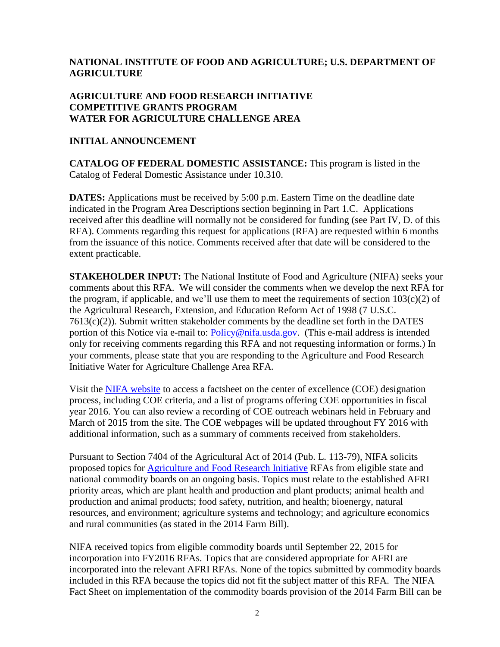## **NATIONAL INSTITUTE OF FOOD AND AGRICULTURE; U.S. DEPARTMENT OF AGRICULTURE**

#### **AGRICULTURE AND FOOD RESEARCH INITIATIVE COMPETITIVE GRANTS PROGRAM WATER FOR AGRICULTURE CHALLENGE AREA**

#### **INITIAL ANNOUNCEMENT**

**CATALOG OF FEDERAL DOMESTIC ASSISTANCE:** This program is listed in the Catalog of Federal Domestic Assistance under 10.310.

**DATES:** Applications must be received by 5:00 p.m. Eastern Time on the deadline date indicated in the Program Area Descriptions section beginning in Part 1.C. Applications received after this deadline will normally not be considered for funding (see Part IV, D. of this RFA). Comments regarding this request for applications (RFA) are requested within 6 months from the issuance of this notice. Comments received after that date will be considered to the extent practicable.

**STAKEHOLDER INPUT:** The National Institute of Food and Agriculture (NIFA) seeks your comments about this RFA. We will consider the comments when we develop the next RFA for the program, if applicable, and we'll use them to meet the requirements of section  $103(c)(2)$  of the Agricultural Research, Extension, and Education Reform Act of 1998 (7 U.S.C. 7613(c)(2)). Submit written stakeholder comments by the deadline set forth in the DATES portion of this Notice via e-mail to: [Policy@nifa.usda.gov.](mailto:Policy@nifa.usda.gov) (This e-mail address is intended only for receiving comments regarding this RFA and not requesting information or forms.) In your comments, please state that you are responding to the Agriculture and Food Research Initiative Water for Agriculture Challenge Area RFA.

Visit the [NIFA website](http://nifa.usda.gov/centers-excellence) to access a factsheet on the center of excellence (COE) designation process, including COE criteria, and a list of programs offering COE opportunities in fiscal year 2016. You can also review a recording of COE outreach webinars held in February and March of 2015 from the site. The COE webpages will be updated throughout FY 2016 with additional information, such as a summary of comments received from stakeholders.

Pursuant to Section 7404 of the Agricultural Act of 2014 (Pub. L. 113-79), NIFA solicits proposed topics for [Agriculture](http://nifa.usda.gov/program/agriculture-and-food-research-initiative) and Food Research Initiative RFAs from eligible state and national commodity boards on an ongoing basis. Topics must relate to the established AFRI priority areas, which are plant health and production and plant products; animal health and production and animal products; food safety, nutrition, and health; bioenergy, natural resources, and environment; agriculture systems and technology; and agriculture economics and rural communities (as stated in the 2014 Farm Bill).

NIFA received topics from eligible commodity boards until September 22, 2015 for incorporation into FY2016 RFAs. Topics that are considered appropriate for AFRI are incorporated into the relevant AFRI RFAs. None of the topics submitted by commodity boards included in this RFA because the topics did not fit the subject matter of this RFA. The NIFA Fact Sheet on implementation of the commodity boards provision of the 2014 Farm Bill can be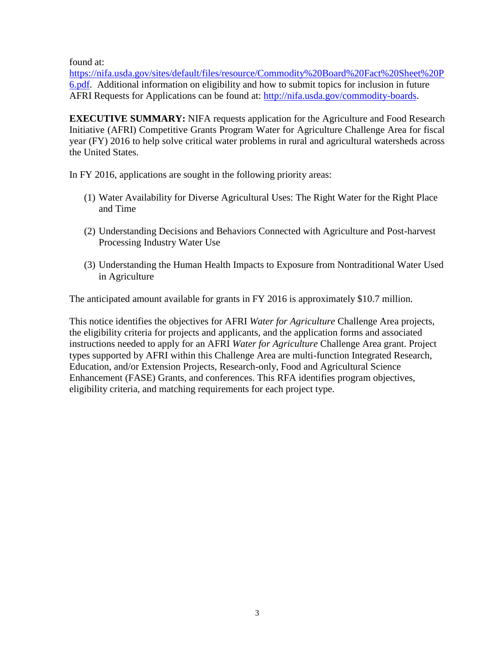found at:

[https://nifa.usda.gov/sites/default/files/resource/Commodity%20Board%20Fact%20Sheet%20P](https://nifa.usda.gov/sites/default/files/resource/Commodity%20Board%20Fact%20Sheet%20P6.pdf) [6.pdf.](https://nifa.usda.gov/sites/default/files/resource/Commodity%20Board%20Fact%20Sheet%20P6.pdf) Additional information on eligibility and how to submit topics for inclusion in future AFRI Requests for Applications can be found at: [http://nifa.usda.gov/commodity-boards.](http://nifa.usda.gov/commodity-boards)

**EXECUTIVE SUMMARY:** NIFA requests application for the Agriculture and Food Research Initiative (AFRI) Competitive Grants Program Water for Agriculture Challenge Area for fiscal year (FY) 2016 to help solve critical water problems in rural and agricultural watersheds across the United States.

In FY 2016, applications are sought in the following priority areas:

- (1) Water Availability for Diverse Agricultural Uses: The Right Water for the Right Place and Time
- (2) Understanding Decisions and Behaviors Connected with Agriculture and Post-harvest Processing Industry Water Use
- (3) Understanding the Human Health Impacts to Exposure from Nontraditional Water Used in Agriculture

The anticipated amount available for grants in FY 2016 is approximately \$10.7 million.

This notice identifies the objectives for AFRI *Water for Agriculture* Challenge Area projects, the eligibility criteria for projects and applicants, and the application forms and associated instructions needed to apply for an AFRI *Water for Agriculture* Challenge Area grant. Project types supported by AFRI within this Challenge Area are multi-function Integrated Research, Education, and/or Extension Projects, Research-only, Food and Agricultural Science Enhancement (FASE) Grants, and conferences. This RFA identifies program objectives, eligibility criteria, and matching requirements for each project type.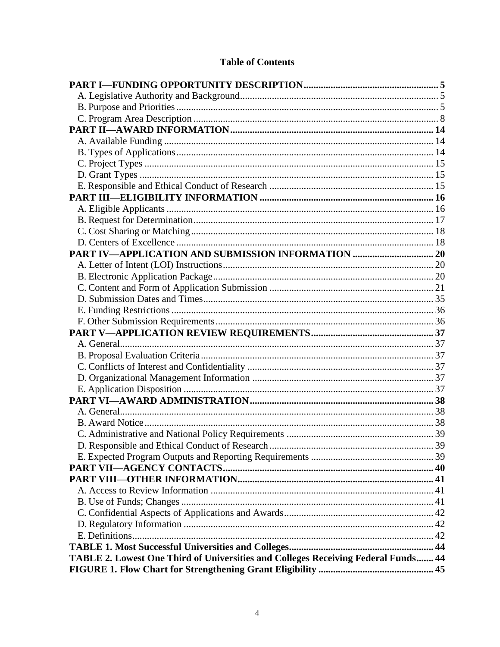## **Table of Contents**

| TABLE 2. Lowest One Third of Universities and Colleges Receiving Federal Funds 44 |  |
|-----------------------------------------------------------------------------------|--|
|                                                                                   |  |
|                                                                                   |  |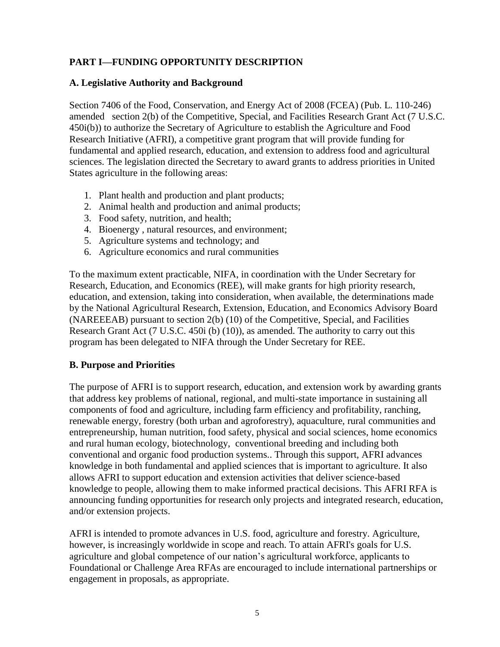## <span id="page-4-0"></span>**PART I—FUNDING OPPORTUNITY DESCRIPTION**

#### <span id="page-4-1"></span>**A. Legislative Authority and Background**

Section 7406 of the Food, Conservation, and Energy Act of 2008 (FCEA) (Pub. L. 110-246) amended section 2(b) of the Competitive, Special, and Facilities Research Grant Act (7 U.S.C. 450i(b)) to authorize the Secretary of Agriculture to establish the Agriculture and Food Research Initiative (AFRI), a competitive grant program that will provide funding for fundamental and applied research, education, and extension to address food and agricultural sciences. The legislation directed the Secretary to award grants to address priorities in United States agriculture in the following areas:

- 1. Plant health and production and plant products;
- 2. Animal health and production and animal products;
- 3. Food safety, nutrition, and health;
- 4. Bioenergy , natural resources, and environment;
- 5. Agriculture systems and technology; and
- 6. Agriculture economics and rural communities

To the maximum extent practicable, NIFA, in coordination with the Under Secretary for Research, Education, and Economics (REE), will make grants for high priority research, education, and extension, taking into consideration, when available, the determinations made by the National Agricultural Research, Extension, Education, and Economics Advisory Board (NAREEEAB) pursuant to section 2(b) (10) of the Competitive, Special, and Facilities Research Grant Act (7 U.S.C. 450i (b) (10)), as amended. The authority to carry out this program has been delegated to NIFA through the Under Secretary for REE.

## <span id="page-4-2"></span>**B. Purpose and Priorities**

The purpose of AFRI is to support research, education, and extension work by awarding grants that address key problems of national, regional, and multi-state importance in sustaining all components of food and agriculture, including farm efficiency and profitability, ranching, renewable energy, forestry (both urban and agroforestry), aquaculture, rural communities and entrepreneurship, human nutrition, food safety, physical and social sciences, home economics and rural human ecology, biotechnology, conventional breeding and including both conventional and organic food production systems.. Through this support, AFRI advances knowledge in both fundamental and applied sciences that is important to agriculture. It also allows AFRI to support education and extension activities that deliver science-based knowledge to people, allowing them to make informed practical decisions. This AFRI RFA is announcing funding opportunities for research only projects and integrated research, education, and/or extension projects.

AFRI is intended to promote advances in U.S. food, agriculture and forestry. Agriculture, however, is increasingly worldwide in scope and reach. To attain AFRI's goals for U.S. agriculture and global competence of our nation's agricultural workforce, applicants to Foundational or Challenge Area RFAs are encouraged to include international partnerships or engagement in proposals, as appropriate.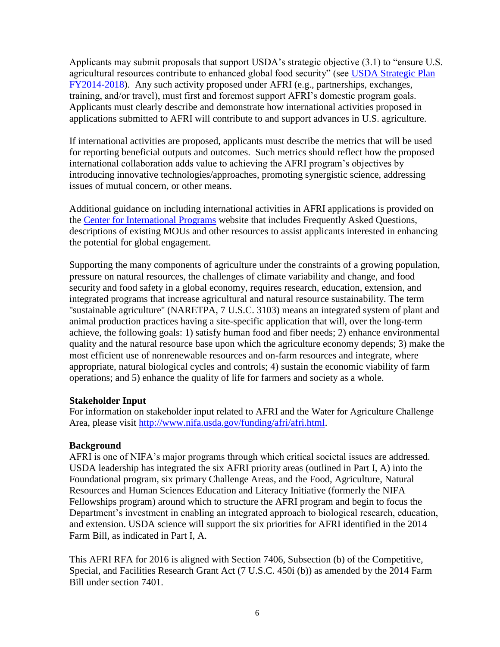Applicants may submit proposals that support USDA's strategic objective (3.1) to "ensure U.S. agricultural resources contribute to enhanced global food security" (see [USDA Strategic Plan](http://nifa.usda.gov/resource/usda-strategic-plan-fy-2014-2018)  [FY2014-2018\)](http://nifa.usda.gov/resource/usda-strategic-plan-fy-2014-2018). Any such activity proposed under AFRI (e.g., partnerships, exchanges, training, and/or travel), must first and foremost support AFRI's domestic program goals. Applicants must clearly describe and demonstrate how international activities proposed in applications submitted to AFRI will contribute to and support advances in U.S. agriculture.

If international activities are proposed, applicants must describe the metrics that will be used for reporting beneficial outputs and outcomes. Such metrics should reflect how the proposed international collaboration adds value to achieving the AFRI program's objectives by introducing innovative technologies/approaches, promoting synergistic science, addressing issues of mutual concern, or other means.

Additional guidance on including international activities in AFRI applications is provided on the [Center for International Programs](http://nifa.usda.gov/program/global-engagement-programs) website that includes Frequently Asked Questions, descriptions of existing MOUs and other resources to assist applicants interested in enhancing the potential for global engagement.

Supporting the many components of agriculture under the constraints of a growing population, pressure on natural resources, the challenges of climate variability and change, and food security and food safety in a global economy, requires research, education, extension, and integrated programs that increase agricultural and natural resource sustainability. The term ''sustainable agriculture'' (NARETPA, 7 U.S.C. 3103) means an integrated system of plant and animal production practices having a site-specific application that will, over the long-term achieve, the following goals: 1) satisfy human food and fiber needs; 2) enhance environmental quality and the natural resource base upon which the agriculture economy depends; 3) make the most efficient use of nonrenewable resources and on-farm resources and integrate, where appropriate, natural biological cycles and controls; 4) sustain the economic viability of farm operations; and 5) enhance the quality of life for farmers and society as a whole.

#### **Stakeholder Input**

For information on stakeholder input related to AFRI and the Water for Agriculture Challenge Area, please visit [http://www.nifa.usda.gov/funding/afri/afri.html.](http://www.nifa.usda.gov/funding/afri/afri.html)

## **Background**

AFRI is one of NIFA's major programs through which critical societal issues are addressed. USDA leadership has integrated the six AFRI priority areas (outlined in Part I, A) into the Foundational program, six primary Challenge Areas, and the Food, Agriculture, Natural Resources and Human Sciences Education and Literacy Initiative (formerly the NIFA Fellowships program) around which to structure the AFRI program and begin to focus the Department's investment in enabling an integrated approach to biological research, education, and extension. USDA science will support the six priorities for AFRI identified in the 2014 Farm Bill, as indicated in Part I, A.

This AFRI RFA for 2016 is aligned with Section 7406, Subsection (b) of the Competitive, Special, and Facilities Research Grant Act (7 U.S.C. 450i (b)) as amended by the 2014 Farm Bill under section 7401.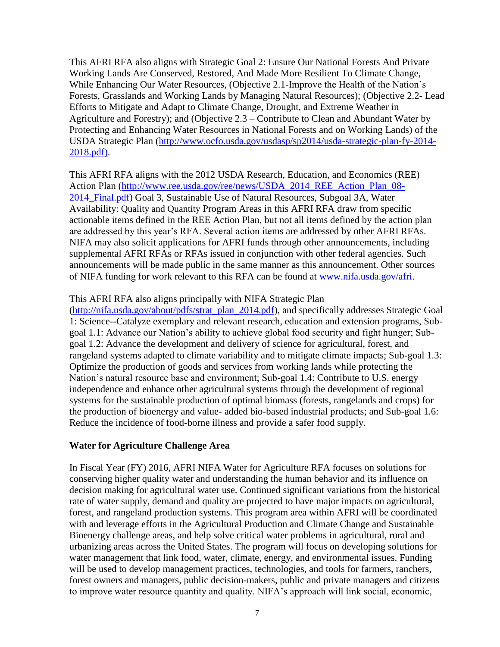This AFRI RFA also aligns with Strategic Goal 2: Ensure Our National Forests And Private Working Lands Are Conserved, Restored, And Made More Resilient To Climate Change, While Enhancing Our Water Resources, (Objective 2.1-Improve the Health of the Nation's Forests, Grasslands and Working Lands by Managing Natural Resources); (Objective 2.2- Lead Efforts to Mitigate and Adapt to Climate Change, Drought, and Extreme Weather in Agriculture and Forestry); and (Objective 2.3 – Contribute to Clean and Abundant Water by Protecting and Enhancing Water Resources in National Forests and on Working Lands) of the USDA Strategic Plan [\(http://www.ocfo.usda.gov/usdasp/sp2014/usda-strategic-plan-fy-2014-](http://www.ocfo.usda.gov/usdasp/sp2014/usda-strategic-plan-fy-2014-2018.pdf) [2018.pdf\)](http://www.ocfo.usda.gov/usdasp/sp2014/usda-strategic-plan-fy-2014-2018.pdf).

This AFRI RFA aligns with the 2012 USDA Research, Education, and Economics (REE) Action Plan [\(http://www.ree.usda.gov/ree/news/USDA\\_2014\\_REE\\_Action\\_Plan\\_08-](http://www.ree.usda.gov/ree/news/USDA_2014_REE_Action_Plan_08-2014_Final.pdf) [2014\\_Final.pdf\)](http://www.ree.usda.gov/ree/news/USDA_2014_REE_Action_Plan_08-2014_Final.pdf) Goal 3, Sustainable Use of Natural Resources, Subgoal 3A, Water Availability: Quality and Quantity Program Areas in this AFRI RFA draw from specific actionable items defined in the REE Action Plan, but not all items defined by the action plan are addressed by this year's RFA. Several action items are addressed by other AFRI RFAs. NIFA may also solicit applications for AFRI funds through other announcements, including supplemental AFRI RFAs or RFAs issued in conjunction with other federal agencies. Such announcements will be made public in the same manner as this announcement. Other sources of NIFA funding for work relevant to this RFA can be found at [www.nifa.usda.gov/afri.](http://www.nifa.usda.gov/afri)

#### This AFRI RFA also aligns principally with NIFA Strategic Plan

[\(http://nifa.usda.gov/about/pdfs/strat\\_plan\\_2014.pdf\)](http://nifa.usda.gov/about/pdfs/strat_plan_2014.pdf), and specifically addresses Strategic Goal 1: Science--Catalyze exemplary and relevant research, education and extension programs, Subgoal 1.1: Advance our Nation's ability to achieve global food security and fight hunger; Subgoal 1.2: Advance the development and delivery of science for agricultural, forest, and rangeland systems adapted to climate variability and to mitigate climate impacts; Sub-goal 1.3: Optimize the production of goods and services from working lands while protecting the Nation's natural resource base and environment; Sub-goal 1.4: Contribute to U.S. energy independence and enhance other agricultural systems through the development of regional systems for the sustainable production of optimal biomass (forests, rangelands and crops) for the production of bioenergy and value- added bio-based industrial products; and Sub-goal 1.6: Reduce the incidence of food-borne illness and provide a safer food supply.

#### **Water for Agriculture Challenge Area**

In Fiscal Year (FY) 2016, AFRI NIFA Water for Agriculture RFA focuses on solutions for conserving higher quality water and understanding the human behavior and its influence on decision making for agricultural water use. Continued significant variations from the historical rate of water supply, demand and quality are projected to have major impacts on agricultural, forest, and rangeland production systems. This program area within AFRI will be coordinated with and leverage efforts in the Agricultural Production and Climate Change and Sustainable Bioenergy challenge areas, and help solve critical water problems in agricultural, rural and urbanizing areas across the United States. The program will focus on developing solutions for water management that link food, water, climate, energy, and environmental issues. Funding will be used to develop management practices, technologies, and tools for farmers, ranchers, forest owners and managers, public decision-makers, public and private managers and citizens to improve water resource quantity and quality. NIFA's approach will link social, economic,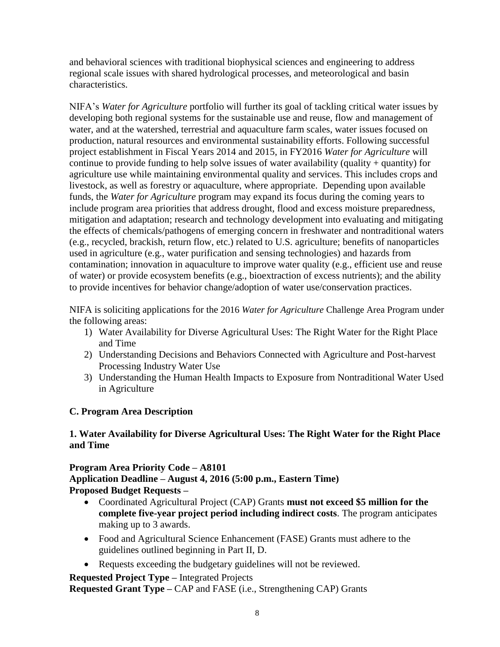and behavioral sciences with traditional biophysical sciences and engineering to address regional scale issues with shared hydrological processes, and meteorological and basin characteristics.

NIFA's *Water for Agriculture* portfolio will further its goal of tackling critical water issues by developing both regional systems for the sustainable use and reuse, flow and management of water, and at the watershed, terrestrial and aquaculture farm scales, water issues focused on production, natural resources and environmental sustainability efforts. Following successful project establishment in Fiscal Years 2014 and 2015, in FY2016 *Water for Agriculture* will continue to provide funding to help solve issues of water availability (quality + quantity) for agriculture use while maintaining environmental quality and services. This includes crops and livestock, as well as forestry or aquaculture, where appropriate. Depending upon available funds, the *Water for Agriculture* program may expand its focus during the coming years to include program area priorities that address drought, flood and excess moisture preparedness, mitigation and adaptation; research and technology development into evaluating and mitigating the effects of chemicals/pathogens of emerging concern in freshwater and nontraditional waters (e.g., recycled, brackish, return flow, etc.) related to U.S. agriculture; benefits of nanoparticles used in agriculture (e.g., water purification and sensing technologies) and hazards from contamination; innovation in aquaculture to improve water quality (e.g., efficient use and reuse of water) or provide ecosystem benefits (e.g., bioextraction of excess nutrients); and the ability to provide incentives for behavior change/adoption of water use/conservation practices.

NIFA is soliciting applications for the 2016 *Water for Agriculture* Challenge Area Program under the following areas:

- 1) Water Availability for Diverse Agricultural Uses: The Right Water for the Right Place and Time
- 2) Understanding Decisions and Behaviors Connected with Agriculture and Post-harvest Processing Industry Water Use
- 3) Understanding the Human Health Impacts to Exposure from Nontraditional Water Used in Agriculture

## <span id="page-7-0"></span>**C. Program Area Description**

## **1. Water Availability for Diverse Agricultural Uses: The Right Water for the Right Place and Time**

**Program Area Priority Code – A8101 Application Deadline – August 4, 2016 (5:00 p.m., Eastern Time) Proposed Budget Requests –**

- Coordinated Agricultural Project (CAP) Grants **must not exceed \$5 million for the complete five-year project period including indirect costs**. The program anticipates making up to 3 awards.
- Food and Agricultural Science Enhancement (FASE) Grants must adhere to the guidelines outlined beginning in Part II, D.
- Requests exceeding the budgetary guidelines will not be reviewed.

**Requested Project Type –** Integrated Projects

**Requested Grant Type –** CAP and FASE (i.e., Strengthening CAP) Grants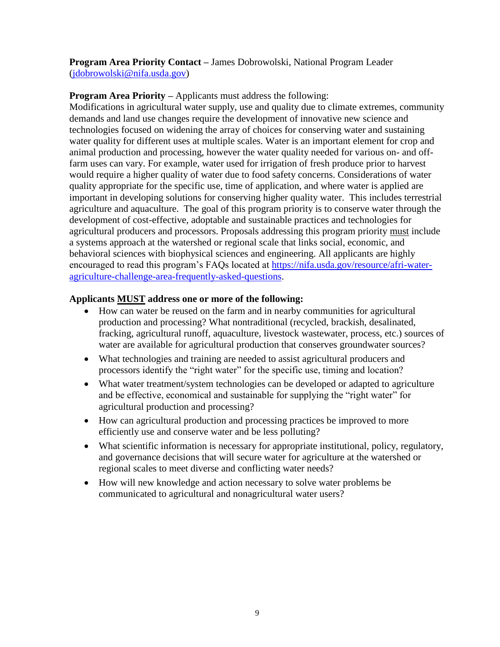**Program Area Priority Contact –** James Dobrowolski, National Program Leader [\(jdobrowolski@nifa.usda.gov\)](mailto:jdobrowolski@nifa.usda.gov)

**Program Area Priority –** Applicants must address the following:

Modifications in agricultural water supply, use and quality due to climate extremes, community demands and land use changes require the development of innovative new science and technologies focused on widening the array of choices for conserving water and sustaining water quality for different uses at multiple scales. Water is an important element for crop and animal production and processing, however the water quality needed for various on- and offfarm uses can vary. For example, water used for irrigation of fresh produce prior to harvest would require a higher quality of water due to food safety concerns. Considerations of water quality appropriate for the specific use, time of application, and where water is applied are important in developing solutions for conserving higher quality water. This includes terrestrial agriculture and aquaculture. The goal of this program priority is to conserve water through the development of cost-effective, adoptable and sustainable practices and technologies for agricultural producers and processors. Proposals addressing this program priority must include a systems approach at the watershed or regional scale that links social, economic, and behavioral sciences with biophysical sciences and engineering. All applicants are highly encouraged to read this program's FAQs located at [https://nifa.usda.gov/resource/afri-water](https://nifa.usda.gov/resource/afri-water-agriculture-challenge-area-frequently-asked-questions)[agriculture-challenge-area-frequently-asked-questions.](https://nifa.usda.gov/resource/afri-water-agriculture-challenge-area-frequently-asked-questions)

## **Applicants MUST address one or more of the following:**

- How can water be reused on the farm and in nearby communities for agricultural production and processing? What nontraditional (recycled, brackish, desalinated, fracking, agricultural runoff, aquaculture, livestock wastewater, process, etc.) sources of water are available for agricultural production that conserves groundwater sources?
- What technologies and training are needed to assist agricultural producers and processors identify the "right water" for the specific use, timing and location?
- What water treatment/system technologies can be developed or adapted to agriculture and be effective, economical and sustainable for supplying the "right water" for agricultural production and processing?
- How can agricultural production and processing practices be improved to more efficiently use and conserve water and be less polluting?
- What scientific information is necessary for appropriate institutional, policy, regulatory, and governance decisions that will secure water for agriculture at the watershed or regional scales to meet diverse and conflicting water needs?
- How will new knowledge and action necessary to solve water problems be communicated to agricultural and nonagricultural water users?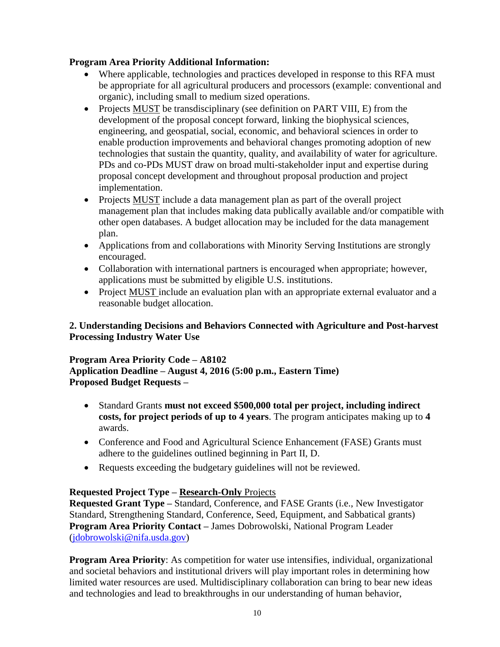## **Program Area Priority Additional Information:**

- Where applicable, technologies and practices developed in response to this RFA must be appropriate for all agricultural producers and processors (example: conventional and organic), including small to medium sized operations.
- Projects MUST be transdisciplinary (see definition on PART VIII, E) from the development of the proposal concept forward, linking the biophysical sciences, engineering, and geospatial, social, economic, and behavioral sciences in order to enable production improvements and behavioral changes promoting adoption of new technologies that sustain the quantity, quality, and availability of water for agriculture. PDs and co-PDs MUST draw on broad multi-stakeholder input and expertise during proposal concept development and throughout proposal production and project implementation.
- Projects MUST include a data management plan as part of the overall project management plan that includes making data publically available and/or compatible with other open databases. A budget allocation may be included for the data management plan.
- Applications from and collaborations with Minority Serving Institutions are strongly encouraged.
- Collaboration with international partners is encouraged when appropriate; however, applications must be submitted by eligible U.S. institutions.
- Project MUST include an evaluation plan with an appropriate external evaluator and a reasonable budget allocation.

## **2. Understanding Decisions and Behaviors Connected with Agriculture and Post-harvest Processing Industry Water Use**

## **Program Area Priority Code – A8102 Application Deadline – August 4, 2016 (5:00 p.m., Eastern Time) Proposed Budget Requests –**

- Standard Grants **must not exceed \$500,000 total per project, including indirect costs, for project periods of up to 4 years**. The program anticipates making up to **4**  awards.
- Conference and Food and Agricultural Science Enhancement (FASE) Grants must adhere to the guidelines outlined beginning in Part II, D.
- Requests exceeding the budgetary guidelines will not be reviewed.

## **Requested Project Type – Research-Only** Projects

**Requested Grant Type –** Standard, Conference, and FASE Grants (i.e., New Investigator Standard, Strengthening Standard, Conference, Seed, Equipment, and Sabbatical grants) **Program Area Priority Contact –** James Dobrowolski, National Program Leader [\(jdobrowolski@nifa.usda.gov\)](mailto:jdobrowolski@nifa.usda.gov)

**Program Area Priority:** As competition for water use intensifies, individual, organizational and societal behaviors and institutional drivers will play important roles in determining how limited water resources are used. Multidisciplinary collaboration can bring to bear new ideas and technologies and lead to breakthroughs in our understanding of human behavior,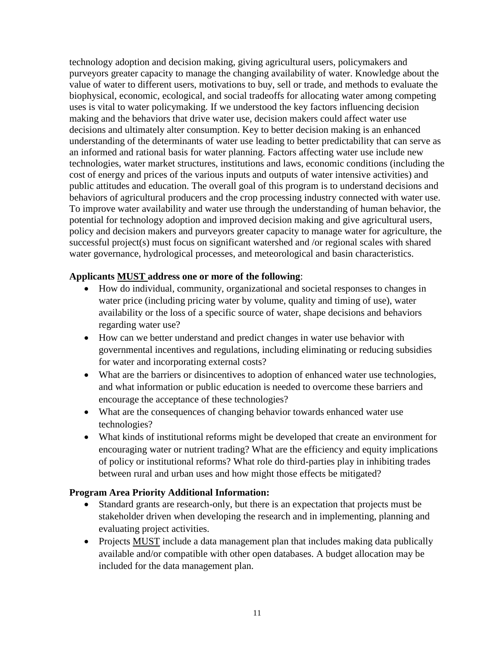technology adoption and decision making, giving agricultural users, policymakers and purveyors greater capacity to manage the changing availability of water. Knowledge about the value of water to different users, motivations to buy, sell or trade, and methods to evaluate the biophysical, economic, ecological, and social tradeoffs for allocating water among competing uses is vital to water policymaking. If we understood the key factors influencing decision making and the behaviors that drive water use, decision makers could affect water use decisions and ultimately alter consumption. Key to better decision making is an enhanced understanding of the determinants of water use leading to better predictability that can serve as an informed and rational basis for water planning. Factors affecting water use include new technologies, water market structures, institutions and laws, economic conditions (including the cost of energy and prices of the various inputs and outputs of water intensive activities) and public attitudes and education. The overall goal of this program is to understand decisions and behaviors of agricultural producers and the crop processing industry connected with water use. To improve water availability and water use through the understanding of human behavior, the potential for technology adoption and improved decision making and give agricultural users, policy and decision makers and purveyors greater capacity to manage water for agriculture, the successful project(s) must focus on significant watershed and /or regional scales with shared water governance, hydrological processes, and meteorological and basin characteristics.

#### **Applicants MUST address one or more of the following**:

- How do individual, community, organizational and societal responses to changes in water price (including pricing water by volume, quality and timing of use), water availability or the loss of a specific source of water, shape decisions and behaviors regarding water use?
- How can we better understand and predict changes in water use behavior with governmental incentives and regulations, including eliminating or reducing subsidies for water and incorporating external costs?
- What are the barriers or disincentives to adoption of enhanced water use technologies, and what information or public education is needed to overcome these barriers and encourage the acceptance of these technologies?
- What are the consequences of changing behavior towards enhanced water use technologies?
- What kinds of institutional reforms might be developed that create an environment for encouraging water or nutrient trading? What are the efficiency and equity implications of policy or institutional reforms? What role do third-parties play in inhibiting trades between rural and urban uses and how might those effects be mitigated?

#### **Program Area Priority Additional Information:**

- Standard grants are research-only, but there is an expectation that projects must be stakeholder driven when developing the research and in implementing, planning and evaluating project activities.
- Projects MUST include a data management plan that includes making data publically available and/or compatible with other open databases. A budget allocation may be included for the data management plan.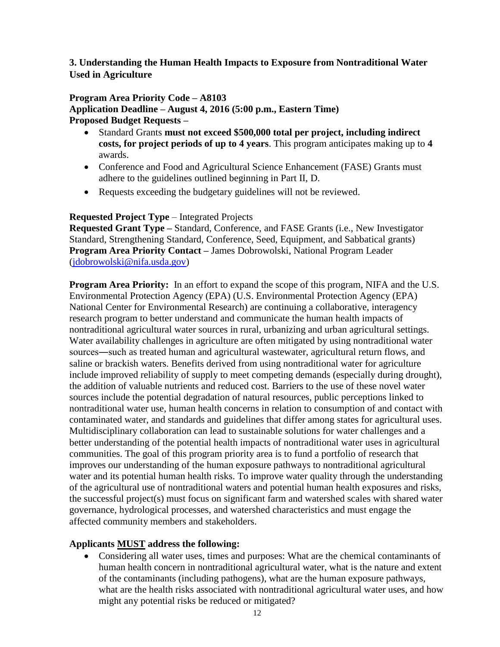## **3. Understanding the Human Health Impacts to Exposure from Nontraditional Water Used in Agriculture**

#### **Program Area Priority Code – A8103**

**Application Deadline – August 4, 2016 (5:00 p.m., Eastern Time) Proposed Budget Requests –**

- Standard Grants **must not exceed \$500,000 total per project, including indirect costs, for project periods of up to 4 years**. This program anticipates making up to **4** awards.
- Conference and Food and Agricultural Science Enhancement (FASE) Grants must adhere to the guidelines outlined beginning in Part II, D.
- Requests exceeding the budgetary guidelines will not be reviewed.

#### **Requested Project Type** – Integrated Projects

**Requested Grant Type –** Standard, Conference, and FASE Grants (i.e., New Investigator Standard, Strengthening Standard, Conference, Seed, Equipment, and Sabbatical grants) **Program Area Priority Contact –** James Dobrowolski, National Program Leader [\(jdobrowolski@nifa.usda.gov\)](mailto:jdobrowolski@nifa.usda.gov)

**Program Area Priority:** In an effort to expand the scope of this program, NIFA and the U.S. Environmental Protection Agency (EPA) (U.S. Environmental Protection Agency (EPA) National Center for Environmental Research) are continuing a collaborative, interagency research program to better understand and communicate the human health impacts of nontraditional agricultural water sources in rural, urbanizing and urban agricultural settings. Water availability challenges in agriculture are often mitigated by using nontraditional water sources―such as treated human and agricultural wastewater, agricultural return flows, and saline or brackish waters. Benefits derived from using nontraditional water for agriculture include improved reliability of supply to meet competing demands (especially during drought), the addition of valuable nutrients and reduced cost. Barriers to the use of these novel water sources include the potential degradation of natural resources, public perceptions linked to nontraditional water use, human health concerns in relation to consumption of and contact with contaminated water, and standards and guidelines that differ among states for agricultural uses. Multidisciplinary collaboration can lead to sustainable solutions for water challenges and a better understanding of the potential health impacts of nontraditional water uses in agricultural communities. The goal of this program priority area is to fund a portfolio of research that improves our understanding of the human exposure pathways to nontraditional agricultural water and its potential human health risks. To improve water quality through the understanding of the agricultural use of nontraditional waters and potential human health exposures and risks, the successful project(s) must focus on significant farm and watershed scales with shared water governance, hydrological processes, and watershed characteristics and must engage the affected community members and stakeholders.

## **Applicants MUST address the following:**

 Considering all water uses, times and purposes: What are the chemical contaminants of human health concern in nontraditional agricultural water, what is the nature and extent of the contaminants (including pathogens), what are the human exposure pathways, what are the health risks associated with nontraditional agricultural water uses, and how might any potential risks be reduced or mitigated?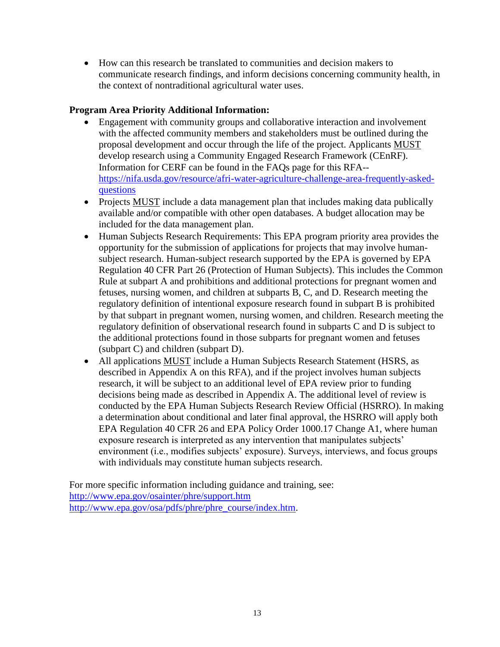How can this research be translated to communities and decision makers to communicate research findings, and inform decisions concerning community health, in the context of nontraditional agricultural water uses.

## **Program Area Priority Additional Information:**

- Engagement with community groups and collaborative interaction and involvement with the affected community members and stakeholders must be outlined during the proposal development and occur through the life of the project. Applicants MUST develop research using a Community Engaged Research Framework (CEnRF). Information for CERF can be found in the FAQs page for this RFA- [https://nifa.usda.gov/resource/afri-water-agriculture-challenge-area-frequently-asked](https://nifa.usda.gov/resource/afri-water-agriculture-challenge-area-frequently-asked-questions)[questions](https://nifa.usda.gov/resource/afri-water-agriculture-challenge-area-frequently-asked-questions)
- Projects MUST include a data management plan that includes making data publically available and/or compatible with other open databases. A budget allocation may be included for the data management plan.
- Human Subjects Research Requirements: This EPA program priority area provides the opportunity for the submission of applications for projects that may involve humansubject research. Human-subject research supported by the EPA is governed by EPA Regulation 40 CFR Part 26 (Protection of Human Subjects). This includes the Common Rule at subpart A and prohibitions and additional protections for pregnant women and fetuses, nursing women, and children at subparts B, C, and D. Research meeting the regulatory definition of intentional exposure research found in subpart B is prohibited by that subpart in pregnant women, nursing women, and children. Research meeting the regulatory definition of observational research found in subparts C and D is subject to the additional protections found in those subparts for pregnant women and fetuses (subpart C) and children (subpart D).
- All applications MUST include a Human Subjects Research Statement (HSRS, as described in Appendix A on this RFA), and if the project involves human subjects research, it will be subject to an additional level of EPA review prior to funding decisions being made as described in Appendix A. The additional level of review is conducted by the EPA Human Subjects Research Review Official (HSRRO). In making a determination about conditional and later final approval, the HSRRO will apply both EPA Regulation 40 CFR 26 and EPA Policy Order 1000.17 Change A1, where human exposure research is interpreted as any intervention that manipulates subjects' environment (i.e., modifies subjects' exposure). Surveys, interviews, and focus groups with individuals may constitute human subjects research.

For more specific information including guidance and training, see: <http://www.epa.gov/osainter/phre/support.htm> [http://www.epa.gov/osa/pdfs/phre/phre\\_course/index.htm.](http://www.epa.gov/osa/pdfs/phre/phre_course/index.htm)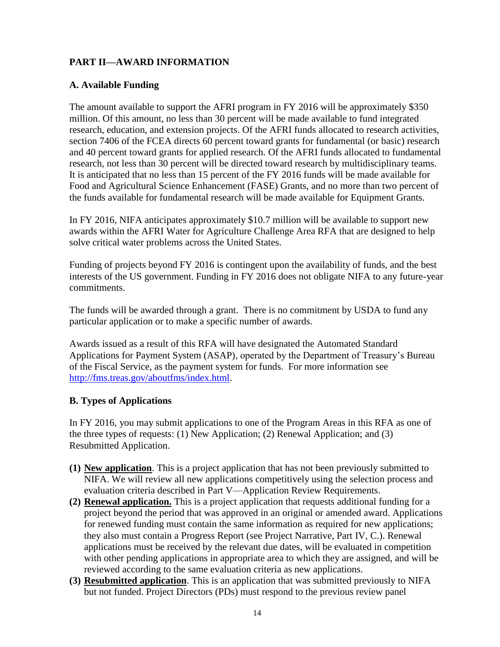## <span id="page-13-0"></span>**PART II—AWARD INFORMATION**

## <span id="page-13-1"></span>**A. Available Funding**

The amount available to support the AFRI program in FY 2016 will be approximately \$350 million. Of this amount, no less than 30 percent will be made available to fund integrated research, education, and extension projects. Of the AFRI funds allocated to research activities, section 7406 of the FCEA directs 60 percent toward grants for fundamental (or basic) research and 40 percent toward grants for applied research. Of the AFRI funds allocated to fundamental research, not less than 30 percent will be directed toward research by multidisciplinary teams. It is anticipated that no less than 15 percent of the FY 2016 funds will be made available for Food and Agricultural Science Enhancement (FASE) Grants, and no more than two percent of the funds available for fundamental research will be made available for Equipment Grants.

In FY 2016, NIFA anticipates approximately \$10.7 million will be available to support new awards within the AFRI Water for Agriculture Challenge Area RFA that are designed to help solve critical water problems across the United States.

Funding of projects beyond FY 2016 is contingent upon the availability of funds, and the best interests of the US government. Funding in FY 2016 does not obligate NIFA to any future-year commitments.

The funds will be awarded through a grant. There is no commitment by USDA to fund any particular application or to make a specific number of awards.

Awards issued as a result of this RFA will have designated the Automated Standard Applications for Payment System (ASAP), operated by the Department of Treasury's Bureau of the Fiscal Service, as the payment system for funds. For more information see [http://fms.treas.gov/aboutfms/index.html.](http://fms.treas.gov/aboutfms/index.html)

## <span id="page-13-2"></span>**B. Types of Applications**

In FY 2016, you may submit applications to one of the Program Areas in this RFA as one of the three types of requests: (1) New Application; (2) Renewal Application; and (3) Resubmitted Application.

- **(1) New application**. This is a project application that has not been previously submitted to NIFA. We will review all new applications competitively using the selection process and evaluation criteria described in Part V—Application Review Requirements.
- **(2) Renewal application.** This is a project application that requests additional funding for a project beyond the period that was approved in an original or amended award. Applications for renewed funding must contain the same information as required for new applications; they also must contain a Progress Report (see Project Narrative, Part IV, C.). Renewal applications must be received by the relevant due dates, will be evaluated in competition with other pending applications in appropriate area to which they are assigned, and will be reviewed according to the same evaluation criteria as new applications.
- **(3) Resubmitted application**. This is an application that was submitted previously to NIFA but not funded. Project Directors (PDs) must respond to the previous review panel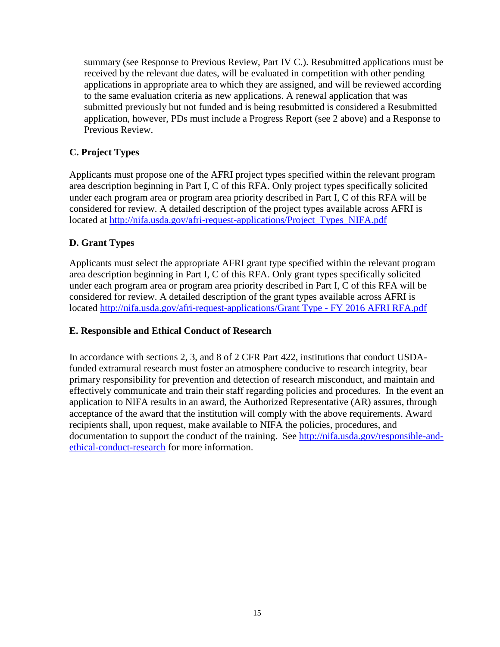summary (see Response to Previous Review, Part IV C.). Resubmitted applications must be received by the relevant due dates, will be evaluated in competition with other pending applications in appropriate area to which they are assigned, and will be reviewed according to the same evaluation criteria as new applications. A renewal application that was submitted previously but not funded and is being resubmitted is considered a Resubmitted application, however, PDs must include a Progress Report (see 2 above) and a Response to Previous Review.

## <span id="page-14-0"></span>**C. Project Types**

Applicants must propose one of the AFRI project types specified within the relevant program area description beginning in Part I, C of this RFA. Only project types specifically solicited under each program area or program area priority described in Part I, C of this RFA will be considered for review. A detailed description of the project types available across AFRI is located at [http://nifa.usda.gov/afri-request-applications/Project\\_Types\\_NIFA.pdf](http://nifa.usda.gov/sites/default/files/asset/document/Project_Types_NIFA.pdf)

## <span id="page-14-1"></span>**D. Grant Types**

Applicants must select the appropriate AFRI grant type specified within the relevant program area description beginning in Part I, C of this RFA. Only grant types specifically solicited under each program area or program area priority described in Part I, C of this RFA will be considered for review. A detailed description of the grant types available across AFRI is located [http://nifa.usda.gov/afri-request-applications/Grant Type -](http://nifa.usda.gov/sites/default/files/asset/document/Grant%20Type%20-%20FY%202016%20AFRI%20RFA.pdf) FY 2016 AFRI RFA.pdf

## <span id="page-14-2"></span>**E. Responsible and Ethical Conduct of Research**

<span id="page-14-3"></span>In accordance with sections 2, 3, and 8 of 2 CFR Part 422, institutions that conduct USDAfunded extramural research must foster an atmosphere conducive to research integrity, bear primary responsibility for prevention and detection of research misconduct, and maintain and effectively communicate and train their staff regarding policies and procedures. In the event an application to NIFA results in an award, the Authorized Representative (AR) assures, through acceptance of the award that the institution will comply with the above requirements. Award recipients shall, upon request, make available to NIFA the policies, procedures, and documentation to support the conduct of the training. See [http://nifa.usda.gov/responsible-and](http://nifa.usda.gov/responsible-and-ethical-conduct-research)[ethical-conduct-research](http://nifa.usda.gov/responsible-and-ethical-conduct-research) for more information.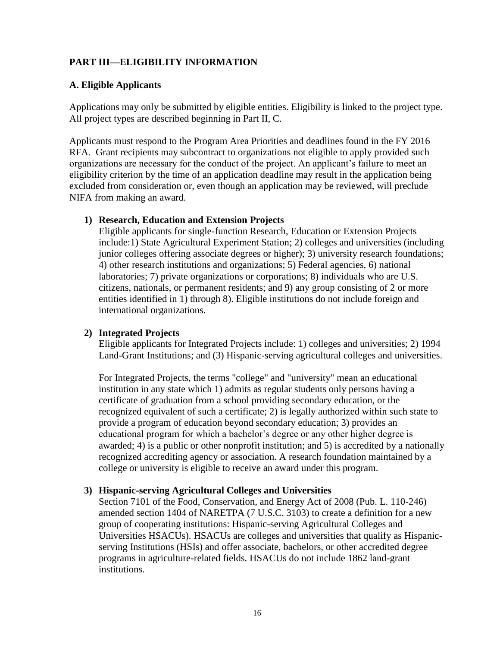## **PART III—ELIGIBILITY INFORMATION**

#### <span id="page-15-0"></span>**A. Eligible Applicants**

Applications may only be submitted by eligible entities. Eligibility is linked to the project type. All project types are described beginning in Part II, C.

Applicants must respond to the Program Area Priorities and deadlines found in the FY 2016 RFA. Grant recipients may subcontract to organizations not eligible to apply provided such organizations are necessary for the conduct of the project. An applicant's failure to meet an eligibility criterion by the time of an application deadline may result in the application being excluded from consideration or, even though an application may be reviewed, will preclude NIFA from making an award.

#### **1) Research, Education and Extension Projects**

Eligible applicants for single-function Research, Education or Extension Projects include:1) State Agricultural Experiment Station; 2) colleges and universities (including junior colleges offering associate degrees or higher); 3) university research foundations; 4) other research institutions and organizations; 5) Federal agencies, 6) national laboratories; 7) private organizations or corporations; 8) individuals who are U.S. citizens, nationals, or permanent residents; and 9) any group consisting of 2 or more entities identified in 1) through 8). Eligible institutions do not include foreign and international organizations.

## **2) Integrated Projects**

Eligible applicants for Integrated Projects include: 1) colleges and universities; 2) 1994 Land-Grant Institutions; and (3) Hispanic-serving agricultural colleges and universities.

For Integrated Projects, the terms "college" and "university" mean an educational institution in any state which 1) admits as regular students only persons having a certificate of graduation from a school providing secondary education, or the recognized equivalent of such a certificate; 2) is legally authorized within such state to provide a program of education beyond secondary education; 3) provides an educational program for which a bachelor's degree or any other higher degree is awarded; 4) is a public or other nonprofit institution; and 5) is accredited by a nationally recognized accrediting agency or association. A research foundation maintained by a college or university is eligible to receive an award under this program.

## **3) Hispanic-serving Agricultural Colleges and Universities**

Section 7101 of the Food, Conservation, and Energy Act of 2008 (Pub. L. 110-246) amended section 1404 of NARETPA (7 U.S.C. 3103) to create a definition for a new group of cooperating institutions: Hispanic-serving Agricultural Colleges and Universities HSACUs). HSACUs are colleges and universities that qualify as Hispanicserving Institutions (HSIs) and offer associate, bachelors, or other accredited degree programs in agriculture-related fields. HSACUs do not include 1862 land-grant institutions.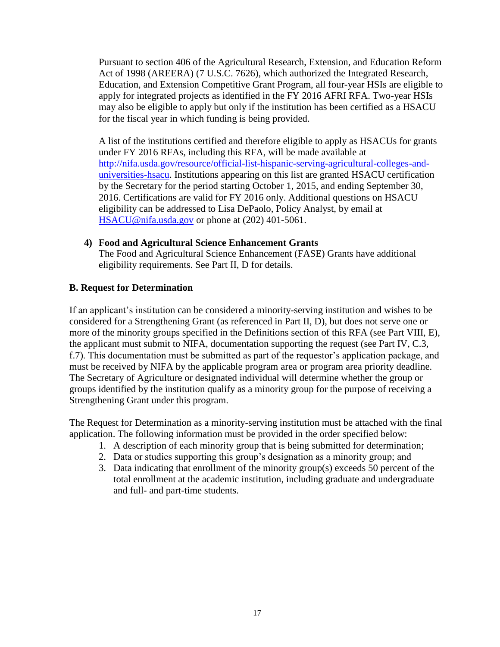Pursuant to section 406 of the Agricultural Research, Extension, and Education Reform Act of 1998 (AREERA) (7 U.S.C. 7626), which authorized the Integrated Research, Education, and Extension Competitive Grant Program, all four-year HSIs are eligible to apply for integrated projects as identified in the FY 2016 AFRI RFA. Two-year HSIs may also be eligible to apply but only if the institution has been certified as a HSACU for the fiscal year in which funding is being provided.

A list of the institutions certified and therefore eligible to apply as HSACUs for grants under FY 2016 RFAs, including this RFA, will be made available at [http://nifa.usda.gov/resource/official-list-hispanic-serving-agricultural-colleges-and](http://nifa.usda.gov/resource/official-list-hispanic-serving-agricultural-colleges-and-universities-hsacu)[universities-hsacu.](http://nifa.usda.gov/resource/official-list-hispanic-serving-agricultural-colleges-and-universities-hsacu) Institutions appearing on this list are granted HSACU certification by the Secretary for the period starting October 1, 2015, and ending September 30, 2016. Certifications are valid for FY 2016 only. Additional questions on HSACU eligibility can be addressed to Lisa DePaolo, Policy Analyst, by email at [HSACU@nifa.usda.gov](mailto:HSACU@nifa.usda.gov) or phone at (202) 401-5061.

#### **4) Food and Agricultural Science Enhancement Grants**

The Food and Agricultural Science Enhancement (FASE) Grants have additional eligibility requirements. See Part II, D for details.

#### <span id="page-16-0"></span>**B. Request for Determination**

If an applicant's institution can be considered a minority-serving institution and wishes to be considered for a Strengthening Grant (as referenced in Part II, D), but does not serve one or more of the minority groups specified in the Definitions section of this RFA (see Part VIII, E), the applicant must submit to NIFA, documentation supporting the request (see Part IV, C.3, f.7). This documentation must be submitted as part of the requestor's application package, and must be received by NIFA by the applicable program area or program area priority deadline. The Secretary of Agriculture or designated individual will determine whether the group or groups identified by the institution qualify as a minority group for the purpose of receiving a Strengthening Grant under this program.

The Request for Determination as a minority-serving institution must be attached with the final application. The following information must be provided in the order specified below:

- 1. A description of each minority group that is being submitted for determination;
- 2. Data or studies supporting this group's designation as a minority group; and
- 3. Data indicating that enrollment of the minority group(s) exceeds 50 percent of the total enrollment at the academic institution, including graduate and undergraduate and full- and part-time students.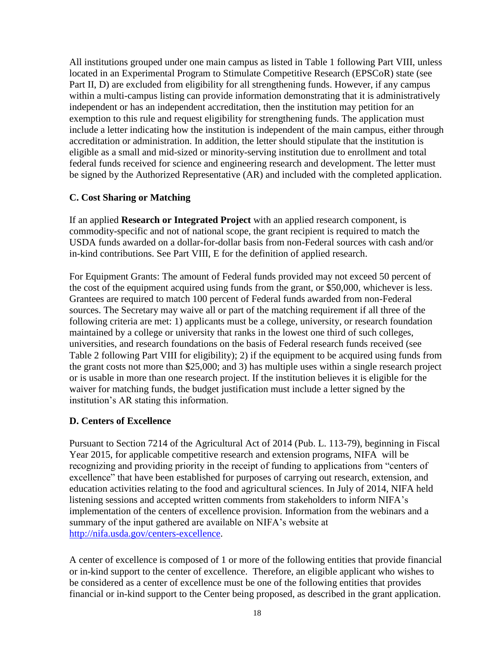All institutions grouped under one main campus as listed in Table 1 following Part VIII, unless located in an Experimental Program to Stimulate Competitive Research (EPSCoR) state (see Part II, D) are excluded from eligibility for all strengthening funds. However, if any campus within a multi-campus listing can provide information demonstrating that it is administratively independent or has an independent accreditation, then the institution may petition for an exemption to this rule and request eligibility for strengthening funds. The application must include a letter indicating how the institution is independent of the main campus, either through accreditation or administration. In addition, the letter should stipulate that the institution is eligible as a small and mid-sized or minority-serving institution due to enrollment and total federal funds received for science and engineering research and development. The letter must be signed by the Authorized Representative (AR) and included with the completed application.

## <span id="page-17-0"></span>**C. Cost Sharing or Matching**

If an applied **Research or Integrated Project** with an applied research component, is commodity-specific and not of national scope, the grant recipient is required to match the USDA funds awarded on a dollar-for-dollar basis from non-Federal sources with cash and/or in-kind contributions. See Part VIII, E for the definition of applied research.

For Equipment Grants: The amount of Federal funds provided may not exceed 50 percent of the cost of the equipment acquired using funds from the grant, or \$50,000, whichever is less. Grantees are required to match 100 percent of Federal funds awarded from non-Federal sources. The Secretary may waive all or part of the matching requirement if all three of the following criteria are met: 1) applicants must be a college, university, or research foundation maintained by a college or university that ranks in the lowest one third of such colleges, universities, and research foundations on the basis of Federal research funds received (see Table 2 following Part VIII for eligibility); 2) if the equipment to be acquired using funds from the grant costs not more than \$25,000; and 3) has multiple uses within a single research project or is usable in more than one research project. If the institution believes it is eligible for the waiver for matching funds, the budget justification must include a letter signed by the institution's AR stating this information.

## <span id="page-17-1"></span>**D. Centers of Excellence**

Pursuant to Section 7214 of the Agricultural Act of 2014 (Pub. L. 113-79), beginning in Fiscal Year 2015, for applicable competitive research and extension programs, NIFA will be recognizing and providing priority in the receipt of funding to applications from "centers of excellence" that have been established for purposes of carrying out research, extension, and education activities relating to the food and agricultural sciences. In July of 2014, NIFA held listening sessions and accepted written comments from stakeholders to inform NIFA's implementation of the centers of excellence provision. Information from the webinars and a summary of the input gathered are available on NIFA's website at [http://nifa.usda.gov/centers-excellence.](http://nifa.usda.gov/centers-excellence)

A center of excellence is composed of 1 or more of the following entities that provide financial or in-kind support to the center of excellence. Therefore, an eligible applicant who wishes to be considered as a center of excellence must be one of the following entities that provides financial or in-kind support to the Center being proposed, as described in the grant application.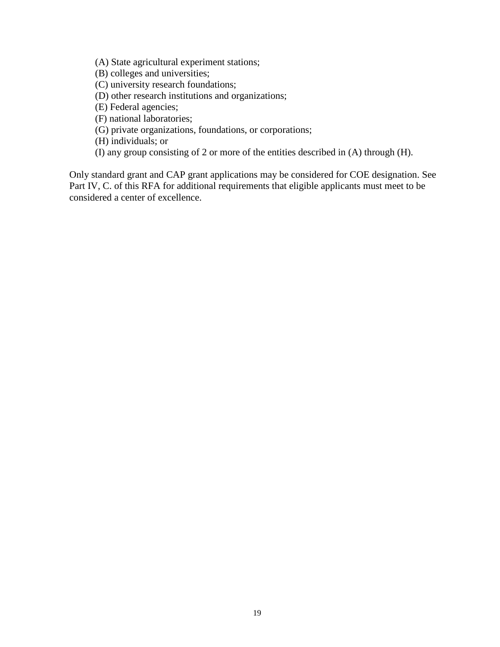(A) State agricultural experiment stations;

- (B) colleges and universities;
- (C) university research foundations;
- (D) other research institutions and organizations;
- (E) Federal agencies;
- (F) national laboratories;
- (G) private organizations, foundations, or corporations;
- (H) individuals; or
- (I) any group consisting of 2 or more of the entities described in (A) through (H).

Only standard grant and CAP grant applications may be considered for COE designation. See Part IV, C. of this RFA for additional requirements that eligible applicants must meet to be considered a center of excellence.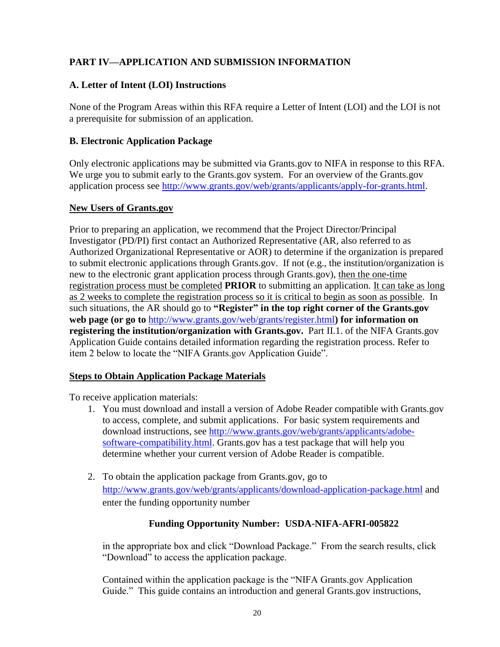## <span id="page-19-0"></span>**PART IV—APPLICATION AND SUBMISSION INFORMATION**

## <span id="page-19-1"></span>**A. Letter of Intent (LOI) Instructions**

None of the Program Areas within this RFA require a Letter of Intent (LOI) and the LOI is not a prerequisite for submission of an application.

## <span id="page-19-2"></span>**B. Electronic Application Package**

Only electronic applications may be submitted via Grants.gov to NIFA in response to this RFA. We urge you to submit early to the Grants.gov system. For an overview of the Grants.gov application process see [http://www.grants.gov/web/grants/applicants/apply-for-grants.html.](http://www.grants.gov/web/grants/applicants/apply-for-grants.html)

#### **New Users of Grants.gov**

Prior to preparing an application, we recommend that the Project Director/Principal Investigator (PD/PI) first contact an Authorized Representative (AR, also referred to as Authorized Organizational Representative or AOR) to determine if the organization is prepared to submit electronic applications through Grants.gov. If not (e.g., the institution/organization is new to the electronic grant application process through Grants.gov), then the one-time registration process must be completed **PRIOR** to submitting an application. It can take as long as 2 weeks to complete the registration process so it is critical to begin as soon as possible. In such situations, the AR should go to **"Register" in the top right corner of the Grants.gov web page (or go to** <http://www.grants.gov/web/grants/register.html>**) for information on registering the institution/organization with Grants.gov.** Part II.1. of the NIFA Grants.gov Application Guide contains detailed information regarding the registration process. Refer to item 2 below to locate the "NIFA Grants.gov Application Guide".

## **Steps to Obtain Application Package Materials**

To receive application materials:

- 1. You must download and install a version of Adobe Reader compatible with Grants.gov to access, complete, and submit applications. For basic system requirements and download instructions, see [http://www.grants.gov/web/grants/applicants/adobe](http://www.grants.gov/web/grants/applicants/adobe-software-compatibility.html)[software-compatibility.html.](http://www.grants.gov/web/grants/applicants/adobe-software-compatibility.html) Grants.gov has a test package that will help you determine whether your current version of Adobe Reader is compatible.
- 2. To obtain the application package from Grants.gov, go to <http://www.grants.gov/web/grants/applicants/download-application-package.html> and enter the funding opportunity number

## **Funding Opportunity Number: USDA-NIFA-AFRI-005822**

in the appropriate box and click "Download Package." From the search results, click "Download" to access the application package.

Contained within the application package is the "NIFA Grants.gov Application Guide." This guide contains an introduction and general Grants.gov instructions,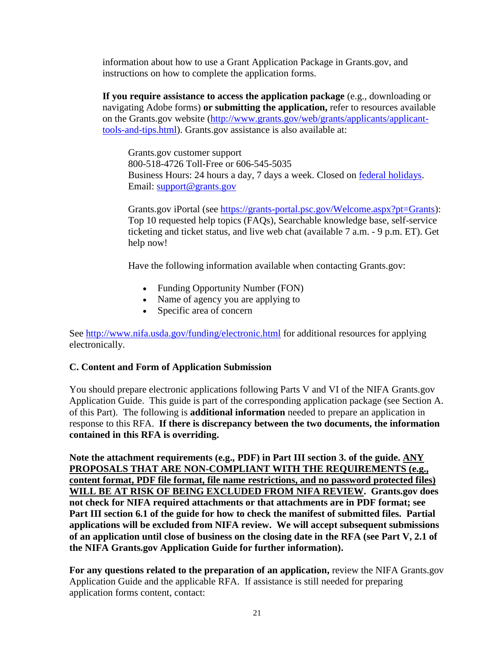information about how to use a Grant Application Package in Grants.gov, and instructions on how to complete the application forms.

**If you require assistance to access the application package** (e.g., downloading or navigating Adobe forms) **or submitting the application,** refer to resources available on the Grants.gov website [\(http://www.grants.gov/web/grants/applicants/applicant](http://www.grants.gov/web/grants/applicants/applicant-tools-and-tips.html)[tools-and-tips.html\)](http://www.grants.gov/web/grants/applicants/applicant-tools-and-tips.html). Grants.gov assistance is also available at:

Grants.gov customer support 800-518-4726 Toll-Free or 606-545-5035 Business Hours: 24 hours a day, 7 days a week. Closed on [federal holidays.](http://www.opm.gov/policy-data-oversight/snow-dismissal-procedures/federal-holidays/) Email: [support@grants.gov](mailto:support@grants.gov)

Grants.gov iPortal (see [https://grants-portal.psc.gov/Welcome.aspx?pt=Grants\)](https://grants-portal.psc.gov/Welcome.aspx?pt=Grants): Top 10 requested help topics (FAQs), Searchable knowledge base, self-service ticketing and ticket status, and live web chat (available 7 a.m. - 9 p.m. ET). [Get](https://grants-portal.psc.gov/Welcome.aspx?pt=Grants)  [help now!](https://grants-portal.psc.gov/Welcome.aspx?pt=Grants)

Have the following information available when contacting Grants.gov:

- Funding Opportunity Number (FON)
- Name of agency you are applying to
- Specific area of concern

See<http://www.nifa.usda.gov/funding/electronic.html> for additional resources for applying electronically.

#### <span id="page-20-0"></span>**C. Content and Form of Application Submission**

You should prepare electronic applications following Parts V and VI of the NIFA Grants.gov Application Guide. This guide is part of the corresponding application package (see Section A. of this Part). The following is **additional information** needed to prepare an application in response to this RFA. **If there is discrepancy between the two documents, the information contained in this RFA is overriding.**

**Note the attachment requirements (e.g., PDF) in Part III section 3. of the guide. ANY PROPOSALS THAT ARE NON-COMPLIANT WITH THE REQUIREMENTS (e.g., content format, PDF file format, file name restrictions, and no password protected files) WILL BE AT RISK OF BEING EXCLUDED FROM NIFA REVIEW. Grants.gov does not check for NIFA required attachments or that attachments are in PDF format; see Part III section 6.1 of the guide for how to check the manifest of submitted files. Partial applications will be excluded from NIFA review. We will accept subsequent submissions of an application until close of business on the closing date in the RFA (see Part V, 2.1 of the NIFA Grants.gov Application Guide for further information).**

**For any questions related to the preparation of an application,** review the NIFA Grants.gov Application Guide and the applicable RFA. If assistance is still needed for preparing application forms content, contact: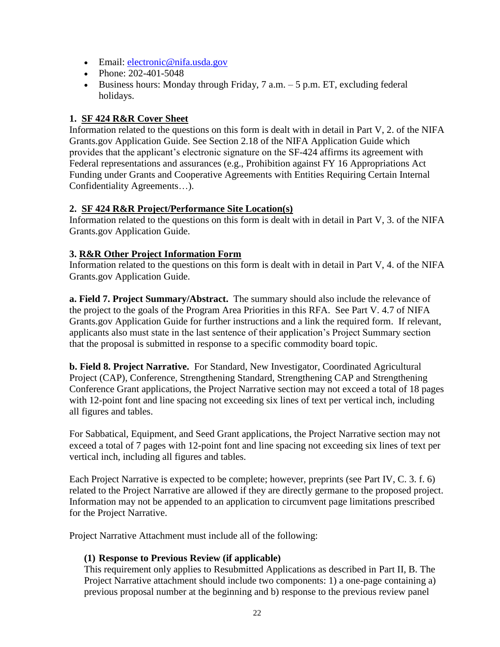- Email: electronic@nifa.usda.gov
- Phone: 202-401-5048
- Business hours: Monday through Friday,  $7$  a.m.  $-5$  p.m. ET, excluding federal holidays.

## **1. SF 424 R&R Cover Sheet**

Information related to the questions on this form is dealt with in detail in Part V, 2. of the NIFA Grants.gov Application Guide. See Section 2.18 of the NIFA Application Guide which provides that the applicant's electronic signature on the SF-424 affirms its agreement with Federal representations and assurances (e.g., Prohibition against FY 16 Appropriations Act Funding under Grants and Cooperative Agreements with Entities Requiring Certain Internal Confidentiality Agreements…).

## **2. SF 424 R&R Project/Performance Site Location(s)**

Information related to the questions on this form is dealt with in detail in Part V, 3. of the NIFA Grants.gov Application Guide.

## **3. R&R Other Project Information Form**

Information related to the questions on this form is dealt with in detail in Part V, 4. of the NIFA Grants.gov Application Guide.

**a. Field 7. Project Summary/Abstract.** The summary should also include the relevance of the project to the goals of the Program Area Priorities in this RFA. See Part V. 4.7 of NIFA Grants.gov Application Guide for further instructions and a link the required form. If relevant, applicants also must state in the last sentence of their application's Project Summary section that the proposal is submitted in response to a specific commodity board topic.

**b. Field 8. Project Narrative.** For Standard, New Investigator, Coordinated Agricultural Project (CAP), Conference, Strengthening Standard, Strengthening CAP and Strengthening Conference Grant applications, the Project Narrative section may not exceed a total of 18 pages with 12-point font and line spacing not exceeding six lines of text per vertical inch, including all figures and tables.

For Sabbatical, Equipment, and Seed Grant applications, the Project Narrative section may not exceed a total of 7 pages with 12-point font and line spacing not exceeding six lines of text per vertical inch, including all figures and tables.

Each Project Narrative is expected to be complete; however, preprints (see Part IV, C. 3. f. 6) related to the Project Narrative are allowed if they are directly germane to the proposed project. Information may not be appended to an application to circumvent page limitations prescribed for the Project Narrative.

Project Narrative Attachment must include all of the following:

## **(1) Response to Previous Review (if applicable)**

This requirement only applies to Resubmitted Applications as described in Part II, B. The Project Narrative attachment should include two components: 1) a one-page containing a) previous proposal number at the beginning and b) response to the previous review panel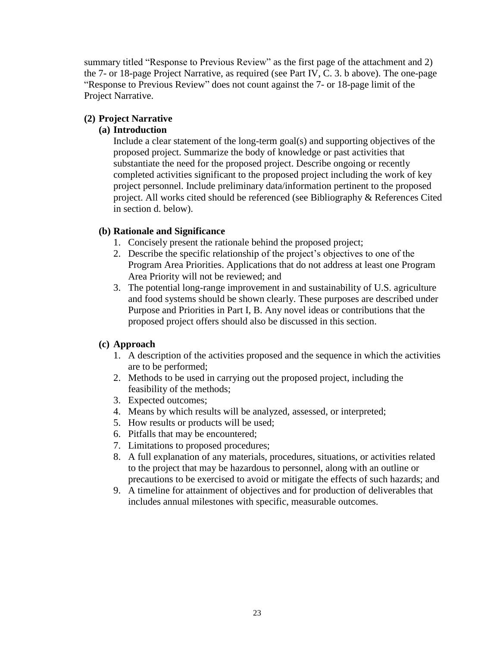summary titled "Response to Previous Review" as the first page of the attachment and 2) the 7- or 18-page Project Narrative, as required (see Part IV, C. 3. b above). The one-page "Response to Previous Review" does not count against the 7- or 18-page limit of the Project Narrative.

## **(2) Project Narrative**

## **(a) Introduction**

Include a clear statement of the long-term goal(s) and supporting objectives of the proposed project. Summarize the body of knowledge or past activities that substantiate the need for the proposed project. Describe ongoing or recently completed activities significant to the proposed project including the work of key project personnel. Include preliminary data/information pertinent to the proposed project. All works cited should be referenced (see Bibliography & References Cited in section d. below).

## **(b) Rationale and Significance**

- 1. Concisely present the rationale behind the proposed project;
- 2. Describe the specific relationship of the project's objectives to one of the Program Area Priorities. Applications that do not address at least one Program Area Priority will not be reviewed; and
- 3. The potential long-range improvement in and sustainability of U.S. agriculture and food systems should be shown clearly. These purposes are described under Purpose and Priorities in Part I, B. Any novel ideas or contributions that the proposed project offers should also be discussed in this section.

## **(c) Approach**

- 1. A description of the activities proposed and the sequence in which the activities are to be performed;
- 2. Methods to be used in carrying out the proposed project, including the feasibility of the methods;
- 3. Expected outcomes;
- 4. Means by which results will be analyzed, assessed, or interpreted;
- 5. How results or products will be used;
- 6. Pitfalls that may be encountered;
- 7. Limitations to proposed procedures;
- 8. A full explanation of any materials, procedures, situations, or activities related to the project that may be hazardous to personnel, along with an outline or precautions to be exercised to avoid or mitigate the effects of such hazards; and
- 9. A timeline for attainment of objectives and for production of deliverables that includes annual milestones with specific, measurable outcomes.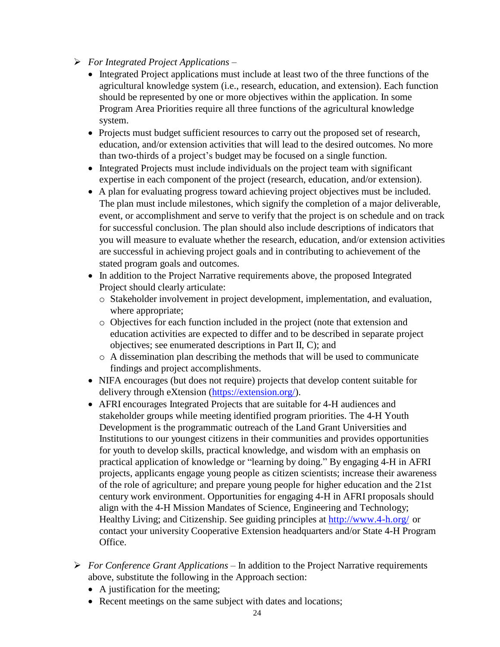- *For Integrated Project Applications*
	- Integrated Project applications must include at least two of the three functions of the agricultural knowledge system (i.e., research, education, and extension). Each function should be represented by one or more objectives within the application. In some Program Area Priorities require all three functions of the agricultural knowledge system.
	- Projects must budget sufficient resources to carry out the proposed set of research, education, and/or extension activities that will lead to the desired outcomes. No more than two-thirds of a project's budget may be focused on a single function.
	- Integrated Projects must include individuals on the project team with significant expertise in each component of the project (research, education, and/or extension).
	- A plan for evaluating progress toward achieving project objectives must be included. The plan must include milestones, which signify the completion of a major deliverable, event, or accomplishment and serve to verify that the project is on schedule and on track for successful conclusion. The plan should also include descriptions of indicators that you will measure to evaluate whether the research, education, and/or extension activities are successful in achieving project goals and in contributing to achievement of the stated program goals and outcomes.
	- In addition to the Project Narrative requirements above, the proposed Integrated Project should clearly articulate:
		- o Stakeholder involvement in project development, implementation, and evaluation, where appropriate;
		- o Objectives for each function included in the project (note that extension and education activities are expected to differ and to be described in separate project objectives; see enumerated descriptions in Part II, C); and
		- $\circ$  A dissemination plan describing the methods that will be used to communicate findings and project accomplishments.
	- NIFA encourages (but does not require) projects that develop content suitable for delivery through eXtension [\(https://extension.org/\)](https://extension.org/).
	- AFRI encourages Integrated Projects that are suitable for 4-H audiences and stakeholder groups while meeting identified program priorities. The 4-H Youth Development is the programmatic outreach of the Land Grant Universities and Institutions to our youngest citizens in their communities and provides opportunities for youth to develop skills, practical knowledge, and wisdom with an emphasis on practical application of knowledge or "learning by doing." By engaging 4-H in AFRI projects, applicants engage young people as citizen scientists; increase their awareness of the role of agriculture; and prepare young people for higher education and the 21st century work environment. Opportunities for engaging 4-H in AFRI proposals should align with the 4-H Mission Mandates of Science, Engineering and Technology; Healthy Living; and Citizenship. See guiding principles at <http://www.4-h.org/> or contact your university Cooperative Extension headquarters and/or State 4-H Program Office.
- *For Conference Grant Applications* In addition to the Project Narrative requirements above, substitute the following in the Approach section:
	- A justification for the meeting;
	- Recent meetings on the same subject with dates and locations;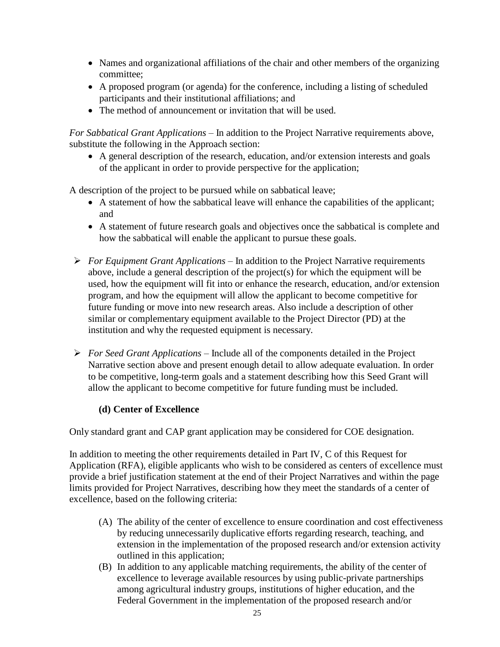- Names and organizational affiliations of the chair and other members of the organizing committee;
- A proposed program (or agenda) for the conference, including a listing of scheduled participants and their institutional affiliations; and
- The method of announcement or invitation that will be used.

*For Sabbatical Grant Applications* – In addition to the Project Narrative requirements above, substitute the following in the Approach section:

 A general description of the research, education, and/or extension interests and goals of the applicant in order to provide perspective for the application;

A description of the project to be pursued while on sabbatical leave;

- A statement of how the sabbatical leave will enhance the capabilities of the applicant; and
- A statement of future research goals and objectives once the sabbatical is complete and how the sabbatical will enable the applicant to pursue these goals.
- *For Equipment Grant Applications*  In addition to the Project Narrative requirements above, include a general description of the project(s) for which the equipment will be used, how the equipment will fit into or enhance the research, education, and/or extension program, and how the equipment will allow the applicant to become competitive for future funding or move into new research areas. Also include a description of other similar or complementary equipment available to the Project Director (PD) at the institution and why the requested equipment is necessary.
- *For Seed Grant Applications* Include all of the components detailed in the Project Narrative section above and present enough detail to allow adequate evaluation. In order to be competitive, long-term goals and a statement describing how this Seed Grant will allow the applicant to become competitive for future funding must be included.

## **(d) Center of Excellence**

Only standard grant and CAP grant application may be considered for COE designation.

In addition to meeting the other requirements detailed in Part IV, C of this Request for Application (RFA), eligible applicants who wish to be considered as centers of excellence must provide a brief justification statement at the end of their Project Narratives and within the page limits provided for Project Narratives, describing how they meet the standards of a center of excellence, based on the following criteria:

- (A) The ability of the center of excellence to ensure coordination and cost effectiveness by reducing unnecessarily duplicative efforts regarding research, teaching, and extension in the implementation of the proposed research and/or extension activity outlined in this application;
- (B) In addition to any applicable matching requirements, the ability of the center of excellence to leverage available resources by using public-private partnerships among agricultural industry groups, institutions of higher education, and the Federal Government in the implementation of the proposed research and/or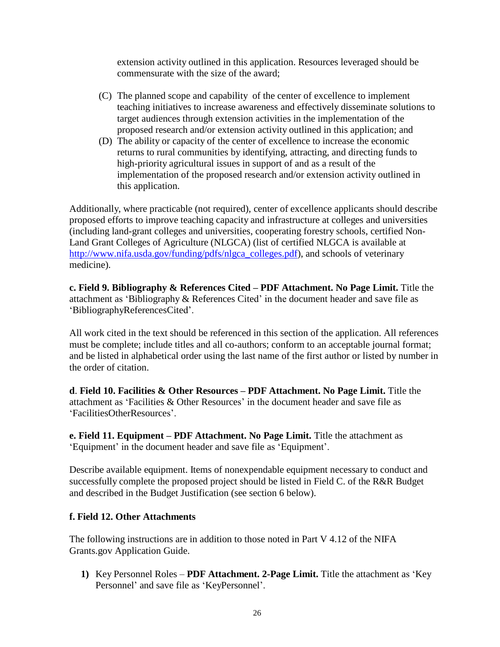extension activity outlined in this application. Resources leveraged should be commensurate with the size of the award;

- (C) The planned scope and capability of the center of excellence to implement teaching initiatives to increase awareness and effectively disseminate solutions to target audiences through extension activities in the implementation of the proposed research and/or extension activity outlined in this application; and
- (D) The ability or capacity of the center of excellence to increase the economic returns to rural communities by identifying, attracting, and directing funds to high-priority agricultural issues in support of and as a result of the implementation of the proposed research and/or extension activity outlined in this application.

Additionally, where practicable (not required), center of excellence applicants should describe proposed efforts to improve teaching capacity and infrastructure at colleges and universities (including land-grant colleges and universities, cooperating forestry schools, certified Non-Land Grant Colleges of Agriculture (NLGCA) (list of certified NLGCA is available at [http://www.nifa.usda.gov/funding/pdfs/nlgca\\_colleges.pdf\)](http://www.nifa.usda.gov/funding/pdfs/nlgca_colleges.pdf), and schools of veterinary medicine).

**c. Field 9. Bibliography & References Cited – PDF Attachment. No Page Limit.** Title the attachment as 'Bibliography & References Cited' in the document header and save file as 'BibliographyReferencesCited'.

All work cited in the text should be referenced in this section of the application. All references must be complete; include titles and all co-authors; conform to an acceptable journal format; and be listed in alphabetical order using the last name of the first author or listed by number in the order of citation.

**d**. **Field 10. Facilities & Other Resources – PDF Attachment. No Page Limit.** Title the attachment as 'Facilities & Other Resources' in the document header and save file as 'FacilitiesOtherResources'.

**e. Field 11. Equipment – PDF Attachment. No Page Limit.** Title the attachment as 'Equipment' in the document header and save file as 'Equipment'.

Describe available equipment. Items of nonexpendable equipment necessary to conduct and successfully complete the proposed project should be listed in Field C. of the R&R Budget and described in the Budget Justification (see section 6 below).

## **f. Field 12. Other Attachments**

The following instructions are in addition to those noted in Part V 4.12 of the NIFA Grants.gov Application Guide.

**1)** Key Personnel Roles – **PDF Attachment. 2-Page Limit.** Title the attachment as 'Key Personnel' and save file as 'KeyPersonnel'.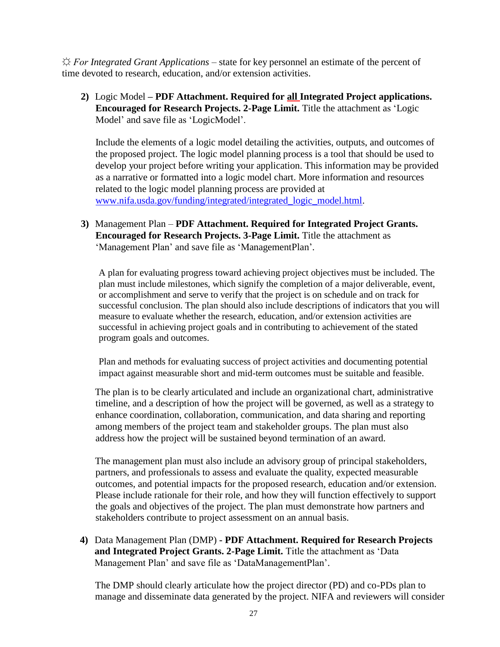*☼ For Integrated Grant Applications –* state for key personnel an estimate of the percent of time devoted to research, education, and/or extension activities.

**2)** Logic Model **– PDF Attachment. Required for all Integrated Project applications. Encouraged for Research Projects. 2-Page Limit.** Title the attachment as 'Logic Model' and save file as 'LogicModel'.

Include the elements of a logic model detailing the activities, outputs, and outcomes of the proposed project. The logic model planning process is a tool that should be used to develop your project before writing your application. This information may be provided as a narrative or formatted into a logic model chart. More information and resources related to the logic model planning process are provided at [www.nifa.usda.gov/funding/integrated/integrated\\_logic\\_model.html.](http://www.nifa.usda.gov/funding/integrated/integrated_logic_model.html)

**3)** Management Plan – **PDF Attachment. Required for Integrated Project Grants. Encouraged for Research Projects. 3-Page Limit.** Title the attachment as 'Management Plan' and save file as 'ManagementPlan'.

A plan for evaluating progress toward achieving project objectives must be included. The plan must include milestones, which signify the completion of a major deliverable, event, or accomplishment and serve to verify that the project is on schedule and on track for successful conclusion. The plan should also include descriptions of indicators that you will measure to evaluate whether the research, education, and/or extension activities are successful in achieving project goals and in contributing to achievement of the stated program goals and outcomes.

Plan and methods for evaluating success of project activities and documenting potential impact against measurable short and mid-term outcomes must be suitable and feasible.

The plan is to be clearly articulated and include an organizational chart, administrative timeline, and a description of how the project will be governed, as well as a strategy to enhance coordination, collaboration, communication, and data sharing and reporting among members of the project team and stakeholder groups. The plan must also address how the project will be sustained beyond termination of an award.

The management plan must also include an advisory group of principal stakeholders, partners, and professionals to assess and evaluate the quality, expected measurable outcomes, and potential impacts for the proposed research, education and/or extension. Please include rationale for their role, and how they will function effectively to support the goals and objectives of the project. The plan must demonstrate how partners and stakeholders contribute to project assessment on an annual basis.

**4)** Data Management Plan (DMP) **- PDF Attachment. Required for Research Projects and Integrated Project Grants. 2-Page Limit.** Title the attachment as 'Data Management Plan' and save file as 'DataManagementPlan'.

The DMP should clearly articulate how the project director (PD) and co-PDs plan to manage and disseminate data generated by the project. NIFA and reviewers will consider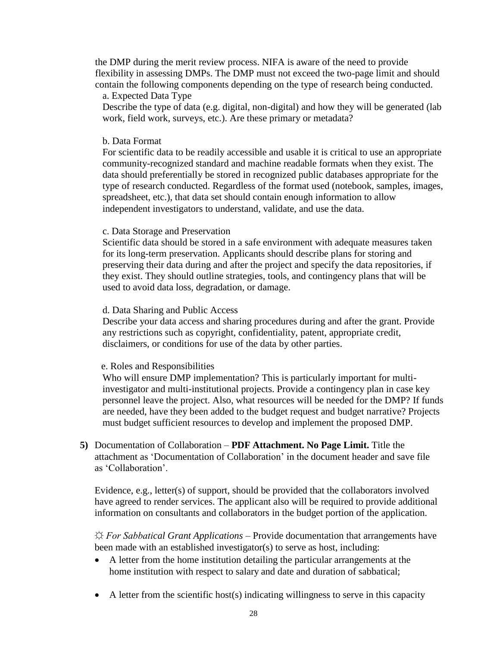the DMP during the merit review process. NIFA is aware of the need to provide flexibility in assessing DMPs. The DMP must not exceed the two-page limit and should contain the following components depending on the type of research being conducted.

#### a. Expected Data Type

Describe the type of data (e.g. digital, non-digital) and how they will be generated (lab work, field work, surveys, etc.). Are these primary or metadata?

#### b. Data Format

For scientific data to be readily accessible and usable it is critical to use an appropriate community-recognized standard and machine readable formats when they exist. The data should preferentially be stored in recognized public databases appropriate for the type of research conducted. Regardless of the format used (notebook, samples, images, spreadsheet, etc.), that data set should contain enough information to allow independent investigators to understand, validate, and use the data.

#### c. Data Storage and Preservation

Scientific data should be stored in a safe environment with adequate measures taken for its long-term preservation. Applicants should describe plans for storing and preserving their data during and after the project and specify the data repositories, if they exist. They should outline strategies, tools, and contingency plans that will be used to avoid data loss, degradation, or damage.

#### d. Data Sharing and Public Access

Describe your data access and sharing procedures during and after the grant. Provide any restrictions such as copyright, confidentiality, patent, appropriate credit, disclaimers, or conditions for use of the data by other parties.

#### e. Roles and Responsibilities

Who will ensure DMP implementation? This is particularly important for multiinvestigator and multi-institutional projects. Provide a contingency plan in case key personnel leave the project. Also, what resources will be needed for the DMP? If funds are needed, have they been added to the budget request and budget narrative? Projects must budget sufficient resources to develop and implement the proposed DMP.

**5)** Documentation of Collaboration – **PDF Attachment. No Page Limit.** Title the attachment as 'Documentation of Collaboration' in the document header and save file as 'Collaboration'.

Evidence, e.g., letter(s) of support, should be provided that the collaborators involved have agreed to render services. The applicant also will be required to provide additional information on consultants and collaborators in the budget portion of the application.

*☼ For Sabbatical Grant Applications –* Provide documentation that arrangements have been made with an established investigator(s) to serve as host, including:

- A letter from the home institution detailing the particular arrangements at the home institution with respect to salary and date and duration of sabbatical;
- $\bullet$  A letter from the scientific host(s) indicating willingness to serve in this capacity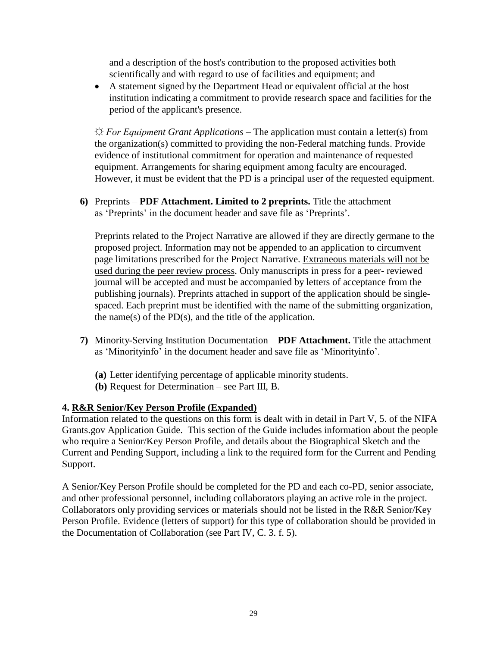and a description of the host's contribution to the proposed activities both scientifically and with regard to use of facilities and equipment; and

 A statement signed by the Department Head or equivalent official at the host institution indicating a commitment to provide research space and facilities for the period of the applicant's presence.

*☼ For Equipment Grant Applications –* The application must contain a letter(s) from the organization(s) committed to providing the non-Federal matching funds. Provide evidence of institutional commitment for operation and maintenance of requested equipment. Arrangements for sharing equipment among faculty are encouraged. However, it must be evident that the PD is a principal user of the requested equipment.

**6)** Preprints – **PDF Attachment. Limited to 2 preprints.** Title the attachment as 'Preprints' in the document header and save file as 'Preprints'.

Preprints related to the Project Narrative are allowed if they are directly germane to the proposed project. Information may not be appended to an application to circumvent page limitations prescribed for the Project Narrative. Extraneous materials will not be used during the peer review process. Only manuscripts in press for a peer- reviewed journal will be accepted and must be accompanied by letters of acceptance from the publishing journals). Preprints attached in support of the application should be singlespaced. Each preprint must be identified with the name of the submitting organization, the name(s) of the  $PD(s)$ , and the title of the application.

- **7)** Minority-Serving Institution Documentation **PDF Attachment.** Title the attachment as 'Minorityinfo' in the document header and save file as 'Minorityinfo'.
	- **(a)** Letter identifying percentage of applicable minority students.
	- **(b)** Request for Determination see Part III, B.

## **4. R&R Senior/Key Person Profile (Expanded)**

Information related to the questions on this form is dealt with in detail in Part V, 5. of the NIFA Grants.gov Application Guide. This section of the Guide includes information about the people who require a Senior/Key Person Profile, and details about the Biographical Sketch and the Current and Pending Support, including a link to the required form for the Current and Pending Support.

A Senior/Key Person Profile should be completed for the PD and each co-PD, senior associate, and other professional personnel, including collaborators playing an active role in the project. Collaborators only providing services or materials should not be listed in the R&R Senior/Key Person Profile. Evidence (letters of support) for this type of collaboration should be provided in the Documentation of Collaboration (see Part IV, C. 3. f. 5).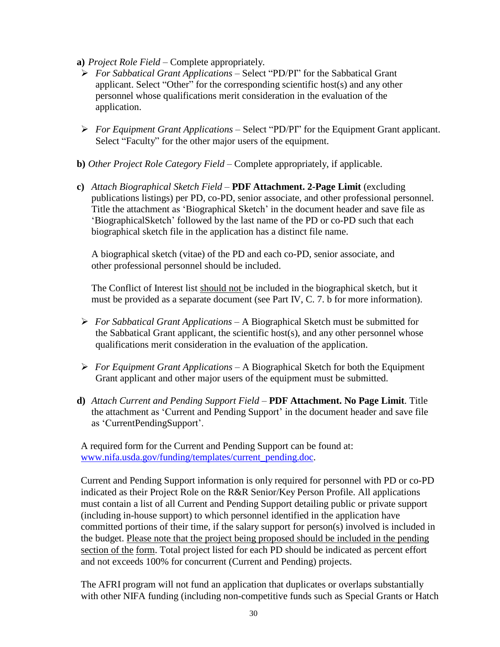- **a)** *Project Role Field*  Complete appropriately.
- *For Sabbatical Grant Applications –* Select "PD/PI" for the Sabbatical Grant applicant. Select "Other" for the corresponding scientific host(s) and any other personnel whose qualifications merit consideration in the evaluation of the application.
- *For Equipment Grant Applications –* Select "PD/PI" for the Equipment Grant applicant. Select "Faculty" for the other major users of the equipment.
- **b)** *Other Project Role Category Field* Complete appropriately, if applicable.
- **c)** *Attach Biographical Sketch Field*  **PDF Attachment. 2-Page Limit** (excluding publications listings) per PD, co-PD, senior associate, and other professional personnel. Title the attachment as 'Biographical Sketch' in the document header and save file as 'BiographicalSketch' followed by the last name of the PD or co-PD such that each biographical sketch file in the application has a distinct file name.

A biographical sketch (vitae) of the PD and each co-PD, senior associate, and other professional personnel should be included.

The Conflict of Interest list should not be included in the biographical sketch, but it must be provided as a separate document (see Part IV, C. 7. b for more information).

- *For Sabbatical Grant Applications –* A Biographical Sketch must be submitted for the Sabbatical Grant applicant, the scientific host(s), and any other personnel whose qualifications merit consideration in the evaluation of the application.
- *For Equipment Grant Applications* A Biographical Sketch for both the Equipment Grant applicant and other major users of the equipment must be submitted.
- **d)** *Attach Current and Pending Support Field* **PDF Attachment. No Page Limit**. Title the attachment as 'Current and Pending Support' in the document header and save file as 'CurrentPendingSupport'.

A required form for the Current and Pending Support can be found at: [www.nifa.usda.gov/funding/templates/current\\_pending.doc.](http://www.nifa.usda.gov/funding/templates/current_pending.doc)

Current and Pending Support information is only required for personnel with PD or co-PD indicated as their Project Role on the R&R Senior/Key Person Profile. All applications must contain a list of all Current and Pending Support detailing public or private support (including in-house support) to which personnel identified in the application have committed portions of their time, if the salary support for person(s) involved is included in the budget. Please note that the project being proposed should be included in the pending section of the form. Total project listed for each PD should be indicated as percent effort and not exceeds 100% for concurrent (Current and Pending) projects.

The AFRI program will not fund an application that duplicates or overlaps substantially with other NIFA funding (including non-competitive funds such as Special Grants or Hatch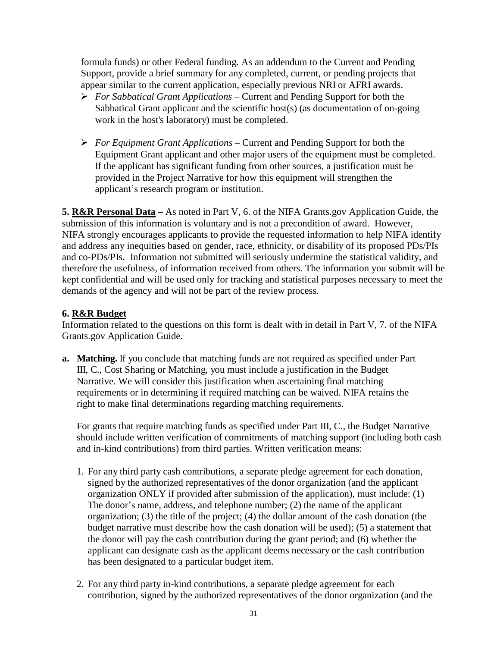formula funds) or other Federal funding. As an addendum to the Current and Pending Support, provide a brief summary for any completed, current, or pending projects that appear similar to the current application, especially previous NRI or AFRI awards.

- *For Sabbatical Grant Applications –* Current and Pending Support for both the Sabbatical Grant applicant and the scientific host(s) (as documentation of on-going work in the host's laboratory) must be completed.
- *For Equipment Grant Applications* Current and Pending Support for both the Equipment Grant applicant and other major users of the equipment must be completed. If the applicant has significant funding from other sources, a justification must be provided in the Project Narrative for how this equipment will strengthen the applicant's research program or institution.

**5. R&R Personal Data –** As noted in Part V, 6. of the NIFA Grants.gov Application Guide, the submission of this information is voluntary and is not a precondition of award. However, NIFA strongly encourages applicants to provide the requested information to help NIFA identify and address any inequities based on gender, race, ethnicity, or disability of its proposed PDs/PIs and co-PDs/PIs. Information not submitted will seriously undermine the statistical validity, and therefore the usefulness, of information received from others. The information you submit will be kept confidential and will be used only for tracking and statistical purposes necessary to meet the demands of the agency and will not be part of the review process.

#### **6. R&R Budget**

Information related to the questions on this form is dealt with in detail in Part V, 7. of the NIFA Grants.gov Application Guide.

**a. Matching.** If you conclude that matching funds are not required as specified under Part III, C., Cost Sharing or Matching, you must include a justification in the Budget Narrative. We will consider this justification when ascertaining final matching requirements or in determining if required matching can be waived. NIFA retains the right to make final determinations regarding matching requirements.

For grants that require matching funds as specified under Part III, C., the Budget Narrative should include written verification of commitments of matching support (including both cash and in-kind contributions) from third parties. Written verification means:

- 1. For any third party cash contributions, a separate pledge agreement for each donation, signed by the authorized representatives of the donor organization (and the applicant organization ONLY if provided after submission of the application), must include: (1) The donor's name, address, and telephone number; (2) the name of the applicant organization; (3) the title of the project; (4) the dollar amount of the cash donation (the budget narrative must describe how the cash donation will be used); (5) a statement that the donor will pay the cash contribution during the grant period; and (6) whether the applicant can designate cash as the applicant deems necessary or the cash contribution has been designated to a particular budget item.
- 2. For any third party in-kind contributions, a separate pledge agreement for each contribution, signed by the authorized representatives of the donor organization (and the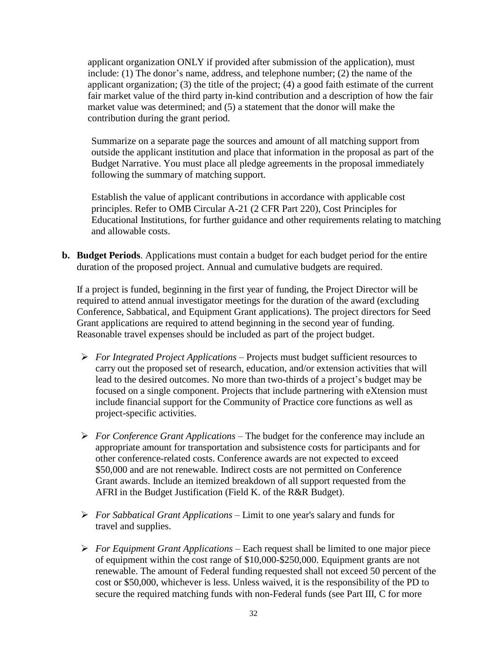applicant organization ONLY if provided after submission of the application), must include: (1) The donor's name, address, and telephone number; (2) the name of the applicant organization; (3) the title of the project; (4) a good faith estimate of the current fair market value of the third party in-kind contribution and a description of how the fair market value was determined; and (5) a statement that the donor will make the contribution during the grant period.

Summarize on a separate page the sources and amount of all matching support from outside the applicant institution and place that information in the proposal as part of the Budget Narrative. You must place all pledge agreements in the proposal immediately following the summary of matching support.

Establish the value of applicant contributions in accordance with applicable cost principles. Refer to OMB Circular A-21 (2 CFR Part 220), Cost Principles for Educational Institutions, for further guidance and other requirements relating to matching and allowable costs.

**b. Budget Periods**. Applications must contain a budget for each budget period for the entire duration of the proposed project. Annual and cumulative budgets are required.

If a project is funded, beginning in the first year of funding, the Project Director will be required to attend annual investigator meetings for the duration of the award (excluding Conference, Sabbatical, and Equipment Grant applications). The project directors for Seed Grant applications are required to attend beginning in the second year of funding. Reasonable travel expenses should be included as part of the project budget.

- *For Integrated Project Applications –* Projects must budget sufficient resources to carry out the proposed set of research, education, and/or extension activities that will lead to the desired outcomes. No more than two-thirds of a project's budget may be focused on a single component. Projects that include partnering with eXtension must include financial support for the Community of Practice core functions as well as project-specific activities.
- *For Conference Grant Applications –* The budget for the conference may include an appropriate amount for transportation and subsistence costs for participants and for other conference-related costs. Conference awards are not expected to exceed \$50,000 and are not renewable. Indirect costs are not permitted on Conference Grant awards. Include an itemized breakdown of all support requested from the AFRI in the Budget Justification (Field K. of the R&R Budget).
- *For Sabbatical Grant Applications –* Limit to one year's salary and funds for travel and supplies.
- *For Equipment Grant Applications* Each request shall be limited to one major piece of equipment within the cost range of \$10,000-\$250,000. Equipment grants are not renewable. The amount of Federal funding requested shall not exceed 50 percent of the cost or \$50,000, whichever is less. Unless waived, it is the responsibility of the PD to secure the required matching funds with non-Federal funds (see Part III, C for more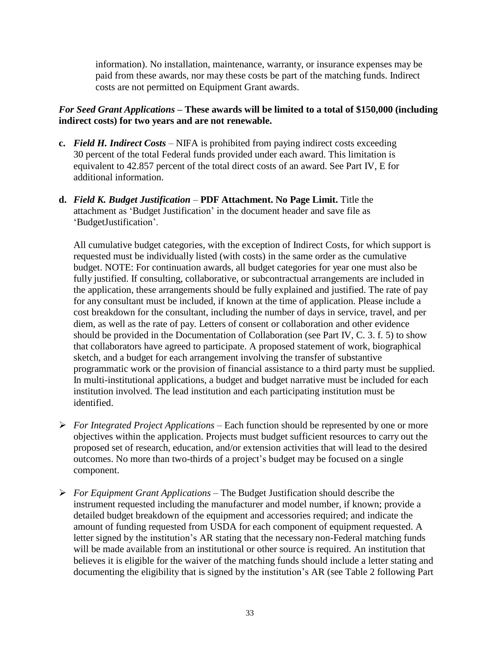information). No installation, maintenance, warranty, or insurance expenses may be paid from these awards, nor may these costs be part of the matching funds. Indirect costs are not permitted on Equipment Grant awards.

## *For Seed Grant Applications* **– These awards will be limited to a total of \$150,000 (including indirect costs) for two years and are not renewable.**

- **c.** *Field H. Indirect Costs* NIFA is prohibited from paying indirect costs exceeding 30 percent of the total Federal funds provided under each award. This limitation is equivalent to 42.857 percent of the total direct costs of an award. See Part IV, E for additional information.
- **d.** *Field K. Budget Justification* **PDF Attachment. No Page Limit.** Title the attachment as 'Budget Justification' in the document header and save file as 'BudgetJustification'.

All cumulative budget categories, with the exception of Indirect Costs, for which support is requested must be individually listed (with costs) in the same order as the cumulative budget. NOTE: For continuation awards, all budget categories for year one must also be fully justified. If consulting, collaborative, or subcontractual arrangements are included in the application, these arrangements should be fully explained and justified. The rate of pay for any consultant must be included, if known at the time of application. Please include a cost breakdown for the consultant, including the number of days in service, travel, and per diem, as well as the rate of pay. Letters of consent or collaboration and other evidence should be provided in the Documentation of Collaboration (see Part IV, C. 3. f. 5) to show that collaborators have agreed to participate. A proposed statement of work, biographical sketch, and a budget for each arrangement involving the transfer of substantive programmatic work or the provision of financial assistance to a third party must be supplied. In multi-institutional applications, a budget and budget narrative must be included for each institution involved. The lead institution and each participating institution must be identified.

- *For Integrated Project Applications –* Each function should be represented by one or more objectives within the application. Projects must budget sufficient resources to carry out the proposed set of research, education, and/or extension activities that will lead to the desired outcomes. No more than two-thirds of a project's budget may be focused on a single component.
- *For Equipment Grant Applications* The Budget Justification should describe the instrument requested including the manufacturer and model number, if known; provide a detailed budget breakdown of the equipment and accessories required; and indicate the amount of funding requested from USDA for each component of equipment requested. A letter signed by the institution's AR stating that the necessary non-Federal matching funds will be made available from an institutional or other source is required. An institution that believes it is eligible for the waiver of the matching funds should include a letter stating and documenting the eligibility that is signed by the institution's AR (see Table 2 following Part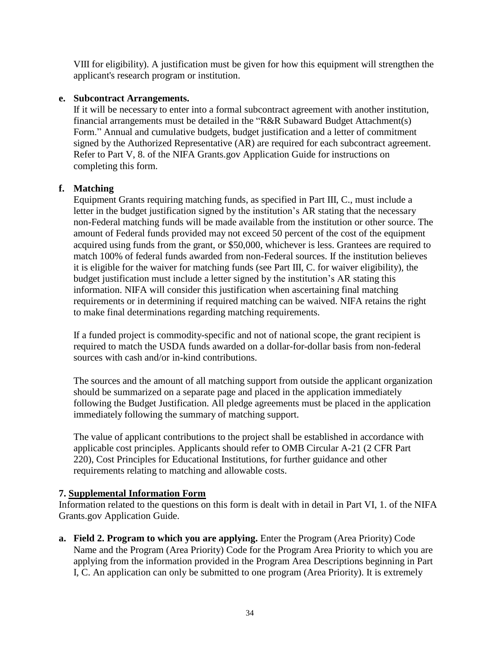VIII for eligibility). A justification must be given for how this equipment will strengthen the applicant's research program or institution.

## **e. Subcontract Arrangements.**

If it will be necessary to enter into a formal subcontract agreement with another institution, financial arrangements must be detailed in the "R&R Subaward Budget Attachment(s) Form." Annual and cumulative budgets, budget justification and a letter of commitment signed by the Authorized Representative (AR) are required for each subcontract agreement. Refer to Part V, 8. of the NIFA Grants.gov Application Guide for instructions on completing this form.

## **f. Matching**

Equipment Grants requiring matching funds, as specified in Part III, C., must include a letter in the budget justification signed by the institution's AR stating that the necessary non-Federal matching funds will be made available from the institution or other source. The amount of Federal funds provided may not exceed 50 percent of the cost of the equipment acquired using funds from the grant, or \$50,000, whichever is less. Grantees are required to match 100% of federal funds awarded from non-Federal sources. If the institution believes it is eligible for the waiver for matching funds (see Part III, C. for waiver eligibility), the budget justification must include a letter signed by the institution's AR stating this information. NIFA will consider this justification when ascertaining final matching requirements or in determining if required matching can be waived. NIFA retains the right to make final determinations regarding matching requirements.

If a funded project is commodity-specific and not of national scope, the grant recipient is required to match the USDA funds awarded on a dollar-for-dollar basis from non-federal sources with cash and/or in-kind contributions.

The sources and the amount of all matching support from outside the applicant organization should be summarized on a separate page and placed in the application immediately following the Budget Justification. All pledge agreements must be placed in the application immediately following the summary of matching support.

The value of applicant contributions to the project shall be established in accordance with applicable cost principles. Applicants should refer to OMB Circular A-21 (2 CFR Part 220), Cost Principles for Educational Institutions, for further guidance and other requirements relating to matching and allowable costs.

## **7. Supplemental Information Form**

Information related to the questions on this form is dealt with in detail in Part VI, 1. of the NIFA Grants.gov Application Guide.

**a. Field 2. Program to which you are applying.** Enter the Program (Area Priority) Code Name and the Program (Area Priority) Code for the Program Area Priority to which you are applying from the information provided in the Program Area Descriptions beginning in Part I, C. An application can only be submitted to one program (Area Priority). It is extremely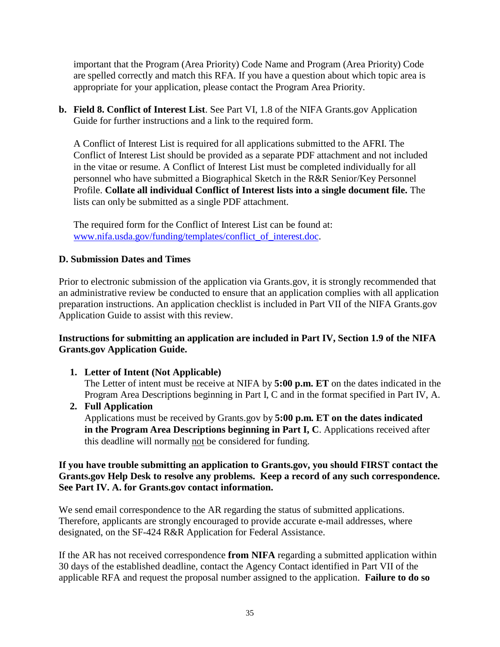important that the Program (Area Priority) Code Name and Program (Area Priority) Code are spelled correctly and match this RFA. If you have a question about which topic area is appropriate for your application, please contact the Program Area Priority.

**b. Field 8. Conflict of Interest List**. See Part VI, 1.8 of the NIFA Grants.gov Application Guide for further instructions and a link to the required form.

A Conflict of Interest List is required for all applications submitted to the AFRI. The Conflict of Interest List should be provided as a separate PDF attachment and not included in the vitae or resume. A Conflict of Interest List must be completed individually for all personnel who have submitted a Biographical Sketch in the R&R Senior/Key Personnel Profile. **Collate all individual Conflict of Interest lists into a single document file.** The lists can only be submitted as a single PDF attachment.

The required form for the Conflict of Interest List can be found at: [www.nifa.usda.gov/funding/templates/conflict\\_of\\_interest.doc.](http://www.nifa.usda.gov/funding/templates/conflict_of_interest.doc)

## <span id="page-34-0"></span>**D. Submission Dates and Times**

Prior to electronic submission of the application via Grants.gov, it is strongly recommended that an administrative review be conducted to ensure that an application complies with all application preparation instructions. An application checklist is included in Part VII of the NIFA Grants.gov Application Guide to assist with this review.

## **Instructions for submitting an application are included in Part IV, Section 1.9 of the NIFA Grants.gov Application Guide.**

**1. Letter of Intent (Not Applicable)**

The Letter of intent must be receive at NIFA by **5:00 p.m. ET** on the dates indicated in the Program Area Descriptions beginning in Part I, C and in the format specified in Part IV, A.

**2. Full Application**

Applications must be received by Grants.gov by **5:00 p.m. ET on the dates indicated in the Program Area Descriptions beginning in Part I, C**. Applications received after this deadline will normally not be considered for funding.

#### **If you have trouble submitting an application to Grants.gov, you should FIRST contact the Grants.gov Help Desk to resolve any problems. Keep a record of any such correspondence. See Part IV. A. for Grants.gov contact information.**

We send email correspondence to the AR regarding the status of submitted applications. Therefore, applicants are strongly encouraged to provide accurate e-mail addresses, where designated, on the SF-424 R&R Application for Federal Assistance.

If the AR has not received correspondence **from NIFA** regarding a submitted application within 30 days of the established deadline, contact the Agency Contact identified in Part VII of the applicable RFA and request the proposal number assigned to the application. **Failure to do so**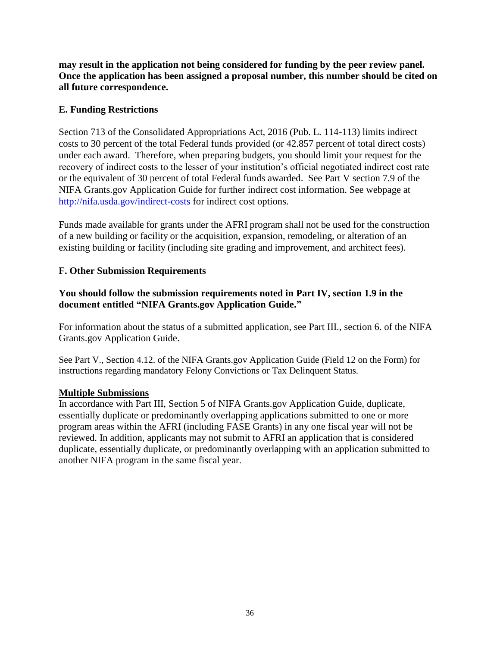**may result in the application not being considered for funding by the peer review panel. Once the application has been assigned a proposal number, this number should be cited on all future correspondence.**

## <span id="page-35-0"></span>**E. Funding Restrictions**

Section 713 of the Consolidated Appropriations Act, 2016 (Pub. L. 114-113) limits indirect costs to 30 percent of the total Federal funds provided (or 42.857 percent of total direct costs) under each award. Therefore, when preparing budgets, you should limit your request for the recovery of indirect costs to the lesser of your institution's official negotiated indirect cost rate or the equivalent of 30 percent of total Federal funds awarded. See Part V section 7.9 of the NIFA Grants.gov Application Guide for further indirect cost information. See webpage at <http://nifa.usda.gov/indirect-costs> for indirect cost options.

Funds made available for grants under the AFRI program shall not be used for the construction of a new building or facility or the acquisition, expansion, remodeling, or alteration of an existing building or facility (including site grading and improvement, and architect fees).

## <span id="page-35-1"></span>**F. Other Submission Requirements**

## **You should follow the submission requirements noted in Part IV, section 1.9 in the document entitled "NIFA Grants.gov Application Guide."**

For information about the status of a submitted application, see Part III., section 6. of the NIFA Grants.gov Application Guide.

See Part V., Section 4.12. of the NIFA Grants.gov Application Guide (Field 12 on the Form) for instructions regarding mandatory Felony Convictions or Tax Delinquent Status.

## **Multiple Submissions**

In accordance with Part III, Section 5 of NIFA Grants.gov Application Guide, duplicate, essentially duplicate or predominantly overlapping applications submitted to one or more program areas within the AFRI (including FASE Grants) in any one fiscal year will not be reviewed. In addition, applicants may not submit to AFRI an application that is considered duplicate, essentially duplicate, or predominantly overlapping with an application submitted to another NIFA program in the same fiscal year.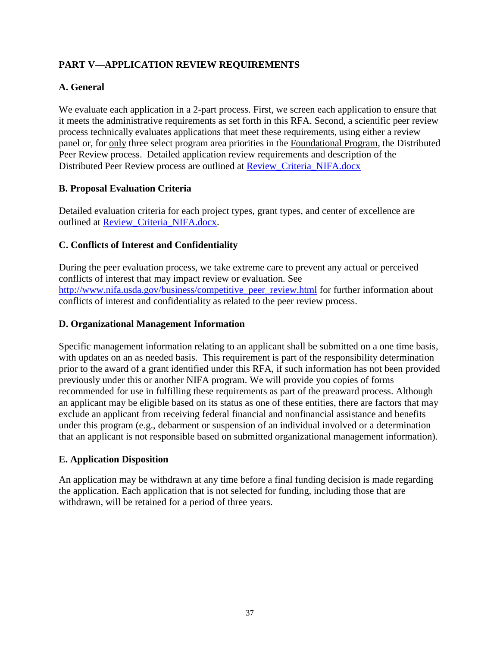## <span id="page-36-0"></span>**PART V—APPLICATION REVIEW REQUIREMENTS**

## <span id="page-36-1"></span>**A. General**

We evaluate each application in a 2-part process. First, we screen each application to ensure that it meets the administrative requirements as set forth in this RFA. Second, a scientific peer review process technically evaluates applications that meet these requirements, using either a review panel or, for only three select program area priorities in the Foundational Program, the Distributed Peer Review process. Detailed application review requirements and description of the Distributed Peer Review process are outlined at [Review\\_Criteria\\_NIFA.docx](https://nifa.usda.gov/afri-request-applications)

## <span id="page-36-2"></span>**B. Proposal Evaluation Criteria**

Detailed evaluation criteria for each project types, grant types, and center of excellence are outlined at [Review\\_Criteria\\_NIFA.docx.](https://nifa.usda.gov/afri-request-applications)

## <span id="page-36-3"></span>**C. Conflicts of Interest and Confidentiality**

During the peer evaluation process, we take extreme care to prevent any actual or perceived conflicts of interest that may impact review or evaluation. See [http://www.nifa.usda.gov/business/competitive\\_peer\\_review.html](http://www.nifa.usda.gov/business/competitive_peer_review.html) for further information about conflicts of interest and confidentiality as related to the peer review process.

#### <span id="page-36-4"></span>**D. Organizational Management Information**

Specific management information relating to an applicant shall be submitted on a one time basis, with updates on an as needed basis. This requirement is part of the responsibility determination prior to the award of a grant identified under this RFA, if such information has not been provided previously under this or another NIFA program. We will provide you copies of forms recommended for use in fulfilling these requirements as part of the preaward process. Although an applicant may be eligible based on its status as one of these entities, there are factors that may exclude an applicant from receiving federal financial and nonfinancial assistance and benefits under this program (e.g., debarment or suspension of an individual involved or a determination that an applicant is not responsible based on submitted organizational management information).

## <span id="page-36-5"></span>**E. Application Disposition**

An application may be withdrawn at any time before a final funding decision is made regarding the application. Each application that is not selected for funding, including those that are withdrawn, will be retained for a period of three years.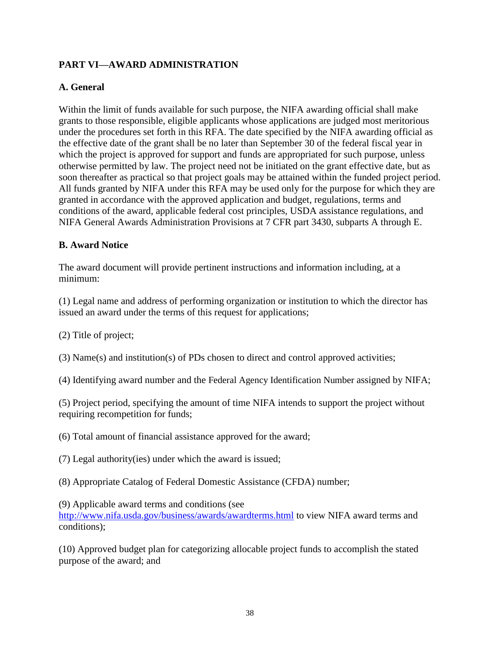## <span id="page-37-0"></span>**PART VI—AWARD ADMINISTRATION**

## <span id="page-37-1"></span>**A. General**

Within the limit of funds available for such purpose, the NIFA awarding official shall make grants to those responsible, eligible applicants whose applications are judged most meritorious under the procedures set forth in this RFA. The date specified by the NIFA awarding official as the effective date of the grant shall be no later than September 30 of the federal fiscal year in which the project is approved for support and funds are appropriated for such purpose, unless otherwise permitted by law. The project need not be initiated on the grant effective date, but as soon thereafter as practical so that project goals may be attained within the funded project period. All funds granted by NIFA under this RFA may be used only for the purpose for which they are granted in accordance with the approved application and budget, regulations, terms and conditions of the award, applicable federal cost principles, USDA assistance regulations, and NIFA General Awards Administration Provisions at 7 CFR part 3430, subparts A through E.

## <span id="page-37-2"></span>**B. Award Notice**

The award document will provide pertinent instructions and information including, at a minimum:

(1) Legal name and address of performing organization or institution to which the director has issued an award under the terms of this request for applications;

(2) Title of project;

(3) Name(s) and institution(s) of PDs chosen to direct and control approved activities;

(4) Identifying award number and the Federal Agency Identification Number assigned by NIFA;

(5) Project period, specifying the amount of time NIFA intends to support the project without requiring recompetition for funds;

(6) Total amount of financial assistance approved for the award;

(7) Legal authority(ies) under which the award is issued;

(8) Appropriate Catalog of Federal Domestic Assistance (CFDA) number;

(9) Applicable award terms and conditions (see

<http://www.nifa.usda.gov/business/awards/awardterms.html> to view NIFA award terms and conditions);

(10) Approved budget plan for categorizing allocable project funds to accomplish the stated purpose of the award; and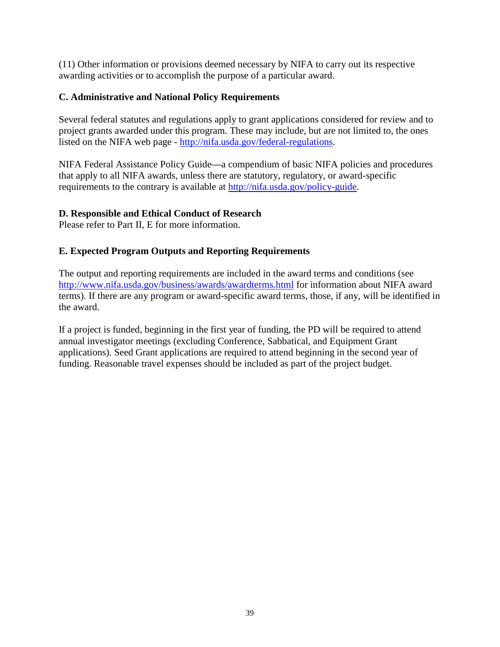(11) Other information or provisions deemed necessary by NIFA to carry out its respective awarding activities or to accomplish the purpose of a particular award.

## <span id="page-38-0"></span>**C. Administrative and National Policy Requirements**

Several federal statutes and regulations apply to grant applications considered for review and to project grants awarded under this program. These may include, but are not limited to, the ones listed on the NIFA web page - [http://nifa.usda.gov/federal-regulations.](http://nifa.usda.gov/federal-regulations)

NIFA Federal Assistance Policy Guide**—**a compendium of basic NIFA policies and procedures that apply to all NIFA awards, unless there are statutory, regulatory, or award-specific requirements to the contrary is available at [http://nifa.usda.gov/policy-guide.](http://nifa.usda.gov/policy-guide)

## <span id="page-38-1"></span>**D. Responsible and Ethical Conduct of Research**

Please refer to Part II, E for more information.

## <span id="page-38-2"></span>**E. Expected Program Outputs and Reporting Requirements**

The output and reporting requirements are included in the award terms and conditions (see <http://www.nifa.usda.gov/business/awards/awardterms.html> for information about NIFA award terms). If there are any program or award-specific award terms, those, if any, will be identified in the award.

If a project is funded, beginning in the first year of funding, the PD will be required to attend annual investigator meetings (excluding Conference, Sabbatical, and Equipment Grant applications). Seed Grant applications are required to attend beginning in the second year of funding. Reasonable travel expenses should be included as part of the project budget.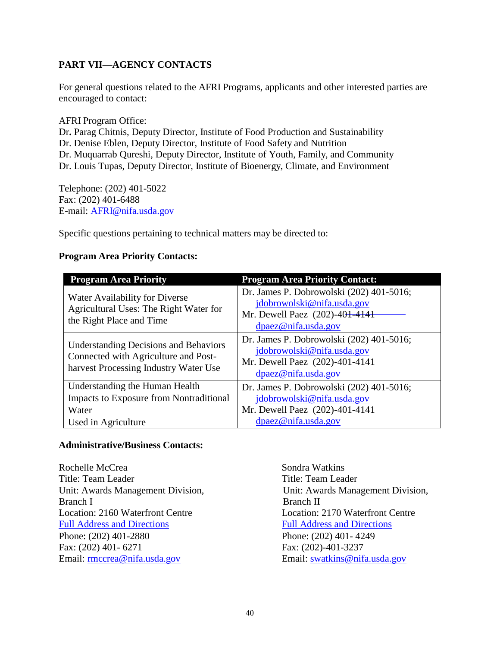## <span id="page-39-0"></span>**PART VII—AGENCY CONTACTS**

For general questions related to the AFRI Programs, applicants and other interested parties are encouraged to contact:

AFRI Program Office: Dr**.** Parag Chitnis, Deputy Director, Institute of Food Production and Sustainability Dr. Denise Eblen, Deputy Director, Institute of Food Safety and Nutrition Dr. Muquarrab Qureshi, Deputy Director, Institute of Youth, Family, and Community Dr. Louis Tupas, Deputy Director, Institute of Bioenergy, Climate, and Environment

Telephone: (202) 401-5022 Fax: (202) 401-6488 E-mail: [AFRI@nifa.usda.gov](mailto:AFRI@csrees.usda.gov)

Specific questions pertaining to technical matters may be directed to:

## **Program Area Priority Contacts:**

| <b>Program Area Priority</b>                                                                                                  | <b>Program Area Priority Contact:</b>                                                                                           |
|-------------------------------------------------------------------------------------------------------------------------------|---------------------------------------------------------------------------------------------------------------------------------|
| Water Availability for Diverse<br>Agricultural Uses: The Right Water for<br>the Right Place and Time                          | Dr. James P. Dobrowolski (202) 401-5016;<br>jdobrowolski@nifa.usda.gov<br>Mr. Dewell Paez (202)-401-4141<br>dpaez@nifa.usda.gov |
| <b>Understanding Decisions and Behaviors</b><br>Connected with Agriculture and Post-<br>harvest Processing Industry Water Use | Dr. James P. Dobrowolski (202) 401-5016;<br>jdobrowolski@nifa.usda.gov<br>Mr. Dewell Paez (202)-401-4141<br>dpaez@nifa.usda.gov |
| Understanding the Human Health                                                                                                | Dr. James P. Dobrowolski (202) 401-5016;                                                                                        |
| <b>Impacts to Exposure from Nontraditional</b>                                                                                | jdobrowolski@nifa.usda.gov                                                                                                      |
| Water                                                                                                                         | Mr. Dewell Paez (202)-401-4141                                                                                                  |
| Used in Agriculture                                                                                                           | dpaez@nifa.usda.gov                                                                                                             |

#### **Administrative/Business Contacts:**

Rochelle McCrea Sondra Watkins Title: Team Leader Title: Team Leader Unit: Awards Management Division, Unit: Awards Management Division, Branch I Branch II Location: 2160 Waterfront Centre Location: 2170 Waterfront Centre [Full Address and Directions Full Address and Directions](http://nifa.usda.gov/about/visit.html) Phone: (202) 401-2880 Phone: (202) 401- 4249 Fax: (202) 401- 6271 Fax: (202)-401-3237 Email: <u>rmccrea@nifa.usda.gov</u> Email: swatkins@nifa.usda.gov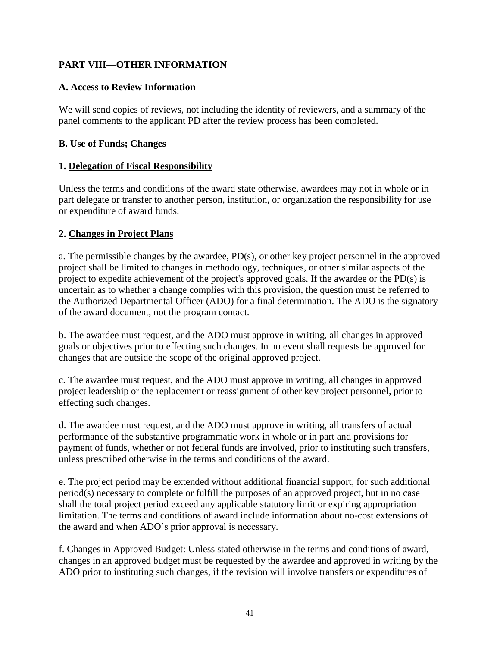## <span id="page-40-0"></span>**PART VIII—OTHER INFORMATION**

## <span id="page-40-1"></span>**A. Access to Review Information**

We will send copies of reviews, not including the identity of reviewers, and a summary of the panel comments to the applicant PD after the review process has been completed.

## <span id="page-40-2"></span>**B. Use of Funds; Changes**

## **1. Delegation of Fiscal Responsibility**

Unless the terms and conditions of the award state otherwise, awardees may not in whole or in part delegate or transfer to another person, institution, or organization the responsibility for use or expenditure of award funds.

## **2. Changes in Project Plans**

a. The permissible changes by the awardee, PD(s), or other key project personnel in the approved project shall be limited to changes in methodology, techniques, or other similar aspects of the project to expedite achievement of the project's approved goals. If the awardee or the PD(s) is uncertain as to whether a change complies with this provision, the question must be referred to the Authorized Departmental Officer (ADO) for a final determination. The ADO is the signatory of the award document, not the program contact.

b. The awardee must request, and the ADO must approve in writing, all changes in approved goals or objectives prior to effecting such changes. In no event shall requests be approved for changes that are outside the scope of the original approved project.

c. The awardee must request, and the ADO must approve in writing, all changes in approved project leadership or the replacement or reassignment of other key project personnel, prior to effecting such changes.

d. The awardee must request, and the ADO must approve in writing, all transfers of actual performance of the substantive programmatic work in whole or in part and provisions for payment of funds, whether or not federal funds are involved, prior to instituting such transfers, unless prescribed otherwise in the terms and conditions of the award.

e. The project period may be extended without additional financial support, for such additional period(s) necessary to complete or fulfill the purposes of an approved project, but in no case shall the total project period exceed any applicable statutory limit or expiring appropriation limitation. The terms and conditions of award include information about no-cost extensions of the award and when ADO's prior approval is necessary.

f. Changes in Approved Budget: Unless stated otherwise in the terms and conditions of award, changes in an approved budget must be requested by the awardee and approved in writing by the ADO prior to instituting such changes, if the revision will involve transfers or expenditures of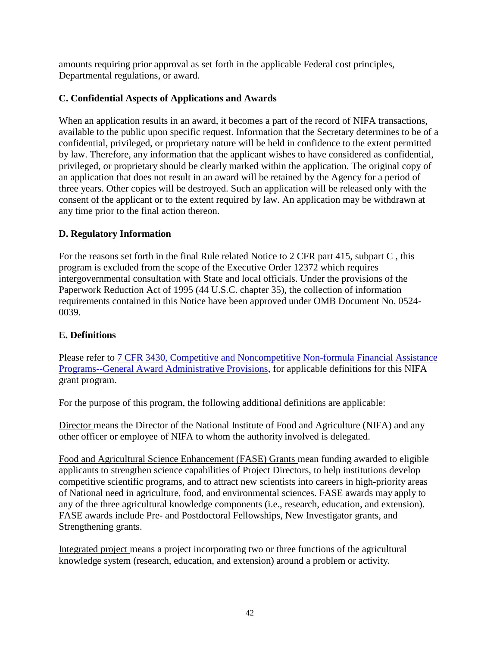amounts requiring prior approval as set forth in the applicable Federal cost principles, Departmental regulations, or award.

## <span id="page-41-0"></span>**C. Confidential Aspects of Applications and Awards**

When an application results in an award, it becomes a part of the record of NIFA transactions, available to the public upon specific request. Information that the Secretary determines to be of a confidential, privileged, or proprietary nature will be held in confidence to the extent permitted by law. Therefore, any information that the applicant wishes to have considered as confidential, privileged, or proprietary should be clearly marked within the application. The original copy of an application that does not result in an award will be retained by the Agency for a period of three years. Other copies will be destroyed. Such an application will be released only with the consent of the applicant or to the extent required by law. An application may be withdrawn at any time prior to the final action thereon.

## <span id="page-41-1"></span>**D. Regulatory Information**

For the reasons set forth in the final Rule related Notice to 2 CFR part 415, subpart C , this program is excluded from the scope of the Executive Order 12372 which requires intergovernmental consultation with State and local officials. Under the provisions of the Paperwork Reduction Act of 1995 (44 U.S.C. chapter 35), the collection of information requirements contained in this Notice have been approved under OMB Document No. 0524- 0039.

## <span id="page-41-2"></span>**E. Definitions**

Please refer to [7 CFR 3430, Competitive and Noncompetitive Non-formula Financial Assistance](http://www.ecfr.gov/cgi-bin/text-idx?c=ecfr&SID=2a6f6bfbef4c918616eebe5353d0793c&rgn=div5&view=text&node=7:15.1.12.2.13&idno=7#7:15.1.12.2.13.1.17.2) Programs--General Award [Administrative Provisions,](http://www.ecfr.gov/cgi-bin/text-idx?c=ecfr&SID=2a6f6bfbef4c918616eebe5353d0793c&rgn=div5&view=text&node=7:15.1.12.2.13&idno=7#7:15.1.12.2.13.1.17.2) for applicable definitions for this NIFA grant program.

For the purpose of this program, the following additional definitions are applicable:

Director means the Director of the National Institute of Food and Agriculture (NIFA) and any other officer or employee of NIFA to whom the authority involved is delegated.

Food and Agricultural Science Enhancement (FASE) Grants mean funding awarded to eligible applicants to strengthen science capabilities of Project Directors, to help institutions develop competitive scientific programs, and to attract new scientists into careers in high-priority areas of National need in agriculture, food, and environmental sciences. FASE awards may apply to any of the three agricultural knowledge components (i.e., research, education, and extension). FASE awards include Pre- and Postdoctoral Fellowships, New Investigator grants, and Strengthening grants.

Integrated project means a project incorporating two or three functions of the agricultural knowledge system (research, education, and extension) around a problem or activity.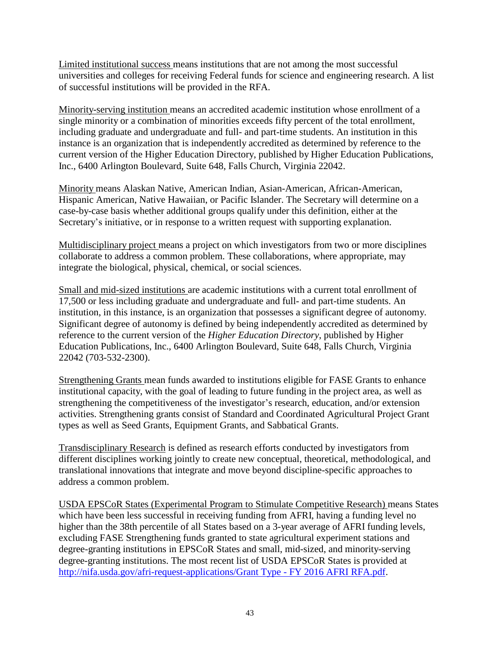Limited institutional success means institutions that are not among the most successful universities and colleges for receiving Federal funds for science and engineering research. A list of successful institutions will be provided in the RFA.

Minority-serving institution means an accredited academic institution whose enrollment of a single minority or a combination of minorities exceeds fifty percent of the total enrollment, including graduate and undergraduate and full- and part-time students. An institution in this instance is an organization that is independently accredited as determined by reference to the current version of the Higher Education Directory, published by Higher Education Publications, Inc., 6400 Arlington Boulevard, Suite 648, Falls Church, Virginia 22042.

Minority means Alaskan Native, American Indian, Asian-American, African-American, Hispanic American, Native Hawaiian, or Pacific Islander. The Secretary will determine on a case-by-case basis whether additional groups qualify under this definition, either at the Secretary's initiative, or in response to a written request with supporting explanation.

Multidisciplinary project means a project on which investigators from two or more disciplines collaborate to address a common problem. These collaborations, where appropriate, may integrate the biological, physical, chemical, or social sciences.

Small and mid-sized institutions are academic institutions with a current total enrollment of 17,500 or less including graduate and undergraduate and full- and part-time students. An institution, in this instance, is an organization that possesses a significant degree of autonomy. Significant degree of autonomy is defined by being independently accredited as determined by reference to the current version of the *Higher Education Directory*, published by Higher Education Publications, Inc., 6400 Arlington Boulevard, Suite 648, Falls Church, Virginia 22042 (703-532-2300).

Strengthening Grants mean funds awarded to institutions eligible for FASE Grants to enhance institutional capacity, with the goal of leading to future funding in the project area, as well as strengthening the competitiveness of the investigator's research, education, and/or extension activities. Strengthening grants consist of Standard and Coordinated Agricultural Project Grant types as well as Seed Grants, Equipment Grants, and Sabbatical Grants.

Transdisciplinary Research is defined as research efforts conducted by investigators from different disciplines working jointly to create new conceptual, theoretical, methodological, and translational innovations that integrate and move beyond discipline-specific approaches to address a common problem.

<span id="page-42-0"></span>USDA EPSCoR States (Experimental Program to Stimulate Competitive Research) means States which have been less successful in receiving funding from AFRI, having a funding level no higher than the 38th percentile of all States based on a 3-year average of AFRI funding levels, excluding FASE Strengthening funds granted to state agricultural experiment stations and degree-granting institutions in EPSCoR States and small, mid-sized, and minority-serving degree-granting institutions. The most recent list of USDA EPSCoR States is provided at [http://nifa.usda.gov/afri-request-applications/Grant Type -](http://nifa.usda.gov/sites/default/files/asset/document/Grant%20Type%20-%20FY%202016%20AFRI%20RFA.pdf) FY 2016 AFRI RFA.pdf.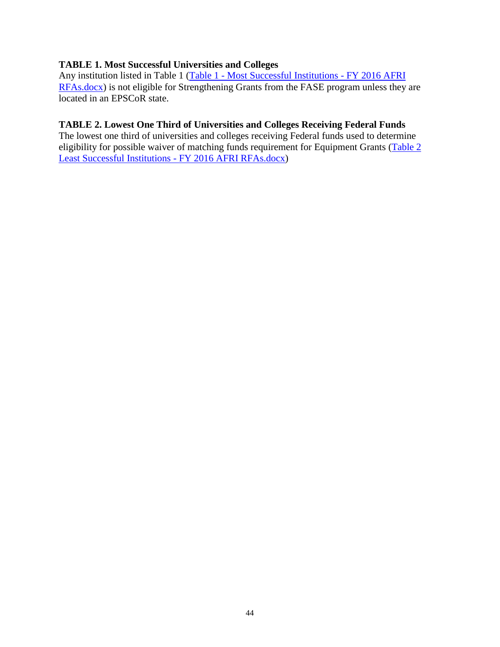#### **TABLE 1. Most Successful Universities and Colleges**

Any institution listed in Table 1 (Table 1 - [Most Successful Institutions -](http://nifa.usda.gov/sites/default/files/asset/document/Table%201%20-%20Most%20Successful%25) FY 2016 AFRI [RFAs.docx\)](http://nifa.usda.gov/sites/default/files/asset/document/Table%201%20-%20Most%20Successful%25) is not eligible for Strengthening Grants from the FASE program unless they are located in an EPSCoR state.

#### <span id="page-43-0"></span>**TABLE 2. Lowest One Third of Universities and Colleges Receiving Federal Funds**

The lowest one third of universities and colleges receiving Federal funds used to determine eligibility for possible waiver of matching funds requirement for Equipment Grants [\(Table 2](http://nifa.usda.gov/sites/default/files/asset/document/Table%202%20Least%20Successful%25)  [Least Successful Institutions -](http://nifa.usda.gov/sites/default/files/asset/document/Table%202%20Least%20Successful%25) FY 2016 AFRI RFAs.docx)